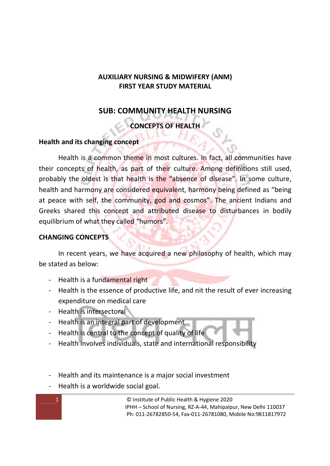# **AUXILIARY NURSING & MIDWIFERY (ANM) FIRST YEAR STUDY MATERIAL**

# **SUB: COMMUNITY HEALTH NURSING**

# **CONCEPTS OF HEALTH**

### **Health and its changing concept**

Health is a common theme in most cultures. In fact, all communities have their concepts of health, as part of their culture. Among definitions still used, probably the oldest is that health is the "absence of disease". In some culture, health and harmony are considered equivalent, harmony being defined as "being at peace with self, the community, god and cosmos". The ancient Indians and Greeks shared this concept and attributed disease to disturbances in bodily equilibrium of what they called "humors".

### **CHANGING CONCEPTS**

In recent years, we have acquired a new philosophy of health, which may be stated as below:

- Health is a fundamental right
- Health is the essence of productive life, and nit the result of ever increasing expenditure on medical care
- Health is intersectoral
- Health is an integral part of development
- Health is central to the concept of quality of life
- Health involves individuals, state and international responsibility
- Health and its maintenance is a major social investment
- Health is a worldwide social goal.

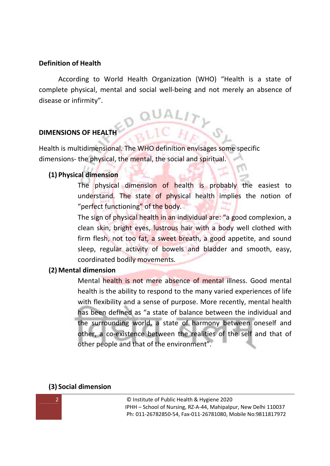#### **Definition of Health**

 According to World Health Organization (WHO) "Health is a state of complete physical, mental and social well-being and not merely an absence of disease or infirmity".

### **DIMENSIONS OF HEALTH**

Health is multidimensional. The WHO definition envisages some specific dimensions- the physical, the mental, the social and spiritual.

#### **(1) Physical dimension**

The physical dimension of health is probably the easiest to understand. The state of physical health implies the notion of "perfect functioning" of the body.

The sign of physical health in an individual are: "a good complexion, a clean skin, bright eyes, lustrous hair with a body well clothed with firm flesh, not too fat, a sweet breath, a good appetite, and sound sleep, regular activity of bowels and bladder and smooth, easy, coordinated bodily movements.

#### **(2) Mental dimension**

Mental health is not mere absence of mental illness. Good mental health is the ability to respond to the many varied experiences of life with flexibility and a sense of purpose. More recently, mental health has been defined as "a state of balance between the individual and the surrounding world, a state of harmony between oneself and other, a co-existence between the realities of the self and that of other people and that of the environment".

#### **(3) Social dimension**

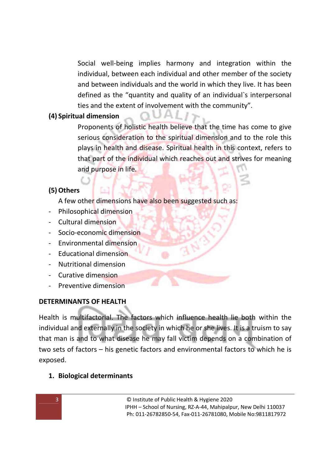Social well-being implies harmony and integration within the individual, between each individual and other member of the society and between individuals and the world in which they live. It has been defined as the "quantity and quality of an individual`s interpersonal ties and the extent of involvement with the community".

### **(4) Spiritual dimension**

Proponents of holistic health believe that the time has come to give serious consideration to the spiritual dimension and to the role this plays in health and disease. Spiritual health in this context, refers to that part of the individual which reaches out and strives for meaning and purpose in life.

### **(5)Others**

A few other dimensions have also been suggested such as:

- Philosophical dimension
- Cultural dimension
- Socio-economic dimension
- Environmental dimension
- Educational dimension
- Nutritional dimension
- Curative dimension
- Preventive dimension

# **DETERMINANTS OF HEALTH**

Health is multifactorial. The factors which influence health lie both within the individual and externally in the society in which he or she lives. It is a truism to say that man is and to what disease he may fall victim depends on a combination of two sets of factors – his genetic factors and environmental factors to which he is exposed.

# **1. Biological determinants**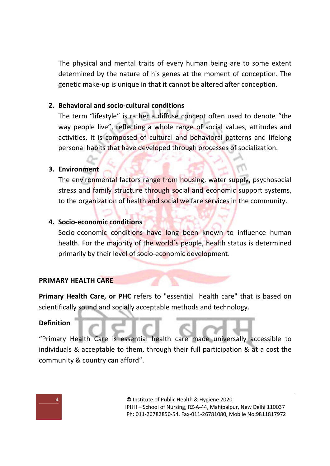The physical and mental traits of every human being are to some extent determined by the nature of his genes at the moment of conception. The genetic make-up is unique in that it cannot be altered after conception.

### **2. Behavioral and socio-cultural conditions**

The term "lifestyle" is rather a diffuse concept often used to denote "the way people live", reflecting a whole range of social values, attitudes and activities. It is composed of cultural and behavioral patterns and lifelong personal habits that have developed through processes of socialization.

#### **3. Environment**

The environmental factors range from housing, water supply, psychosocial stress and family structure through social and economic support systems, to the organization of health and social welfare services in the community.

#### **4. Socio-economic conditions**

Socio-economic conditions have long been known to influence human health. For the majority of the world's people, health status is determined primarily by their level of socio-economic development.

### **PRIMARY HEALTH CARE**

**Primary Health Care, or PHC** refers to "essential health care" that is based on scientifically sound and socially acceptable methods and technology.

#### **Definition**

"Primary Health Care is essential health care made universally accessible to individuals & acceptable to them, through their full participation & at a cost the community & country can afford".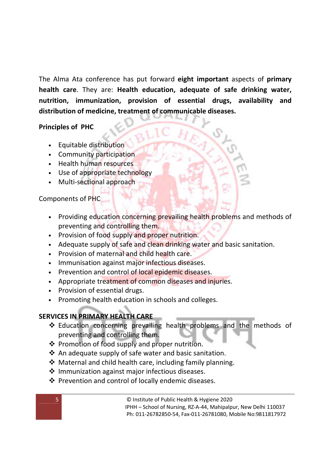The Alma Ata conference has put forward **eight important** aspects of **primary health care**. They are: **Health education, adequate of safe drinking water, nutrition, immunization, provision of essential drugs, availability and distribution of medicine, treatment of communicable diseases.**

### **Principles of PHC**

- Equitable distribution
- Community participation
- Health human resources
- Use of appropriate technology
- Multi-sectional approach

### Components of PHC

- Providing education concerning prevailing health problems and methods of preventing and controlling them.
- Provision of food supply and proper nutrition.
- Adequate supply of safe and clean drinking water and basic sanitation.
- Provision of maternal and child health care.
- Immunisation against major infectious diseases.
- Prevention and control of local epidemic diseases.
- Appropriate treatment of common diseases and injuries.
- Provision of essential drugs.
- Promoting health education in schools and colleges.

### **SERVICES IN PRIMARY HEALTH CARE**

- Education concerning prevailing health problems and the methods of preventing and controlling them.
- ❖ Promotion of food supply and proper nutrition.
- $\triangle$  An adequate supply of safe water and basic sanitation.
- Maternal and child health care, including family planning.
- $\cdot$  Immunization against major infectious diseases.
- ❖ Prevention and control of locally endemic diseases.

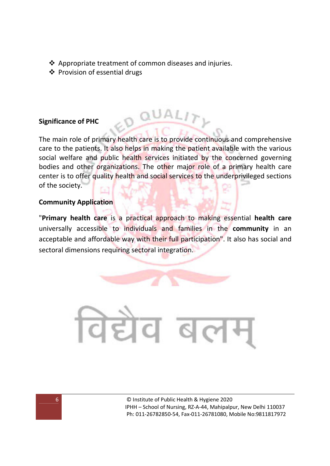- Appropriate treatment of common diseases and injuries.
- Provision of essential drugs

# **Significance of PHC**

The main role of primary health care is to provide continuous and comprehensive care to the patients. It also helps in making the patient available with the various social welfare and public health services initiated by the concerned governing bodies and other organizations. The other major role of a primary health care center is to offer quality health and social services to the underprivileged sections of the society.

#### **Community Application**

"**Primary health care** is a practical approach to making essential **health care** universally accessible to individuals and families in the **community** in an acceptable and affordable way with their full participation". It also has social and sectoral dimensions requiring sectoral integration.

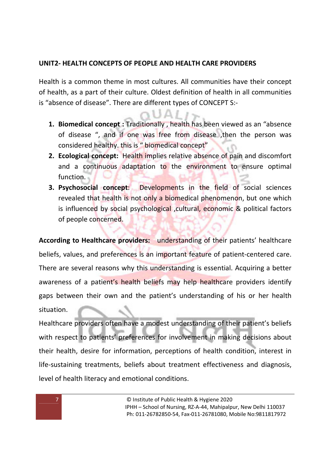### **UNIT2- HEALTH CONCEPTS OF PEOPLE AND HEALTH CARE PROVIDERS**

Health is a common theme in most cultures. All communities have their concept of health, as a part of their culture. Oldest definition of health in all communities is "absence of disease". There are different types of CONCEPT S:-

- **1. Biomedical concept :** Traditionally , health has been viewed as an "absence of disease ", and if one was free from disease ,then the person was considered healthy. this is " biomedical concept"
- **2. Ecological concept:** Health implies relative absence of pain and discomfort and a continuous adaptation to the environment to ensure optimal function.
- **3. Psychosocial concept**: Developments in the field of social sciences revealed that health is not only a biomedical phenomenon, but one which is influenced by social psychological , cultural, economic & political factors of people concerned.

**According to Healthcare providers:** understanding of their patients' healthcare beliefs, values, and preferences is an important feature of patient-centered care. There are several reasons why this understanding is essential. Acquiring a better awareness of a patient's health beliefs may help healthcare providers identify gaps between their own and the patient's understanding of his or her health situation.

Healthcare providers often have a modest understanding of their patient's beliefs with respect to patients' preferences for involvement in making decisions about their health, desire for information, perceptions of health condition, interest in life-sustaining treatments, beliefs about treatment effectiveness and diagnosis, level of health literacy and emotional conditions.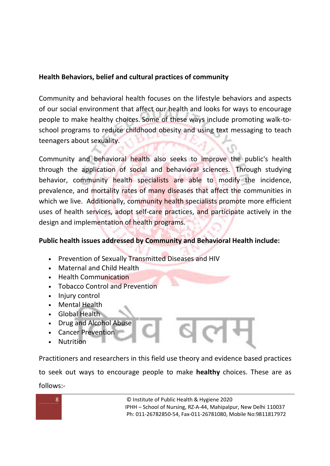# **Health Behaviors, belief and cultural practices of community**

Community and behavioral health focuses on the lifestyle behaviors and aspects of our social environment that affect our health and looks for ways to encourage people to make healthy choices. Some of these ways include promoting walk-toschool programs to reduce childhood obesity and using text messaging to teach teenagers about sexuality.

Community and behavioral health also seeks to improve the public's health through the application of social and behavioral sciences. Through studying behavior, community health specialists are able to modify the incidence, prevalence, and mortality rates of many diseases that affect the communities in which we live. Additionally, community health specialists promote more efficient uses of health services, adopt self-care practices, and participate actively in the design and implementation of health programs.

# **Public health issues addressed by Community and Behavioral Health include:**

- Prevention of Sexually Transmitted Diseases and HIV
- Maternal and Child Health
- Health Communication
- Tobacco Control and Prevention
- Injury control
- Mental Health
- Global Health
- Drug and Alcohol Abuse
- Cancer Prevention
- **Nutrition**

Practitioners and researchers in this field use theory and evidence based practices

to seek out ways to encourage people to make **healthy** choices. These are as follows:-

8 **8 COLLUST CONSTRESS IN STREET STATES ISSUES** OF Public Health & Hygiene 2020 IPHH – School of Nursing, RZ-A-44, Mahipalpur, New Delhi 110037 Ph: 011-26782850-54, Fax-011-26781080, Mobile No:9811817972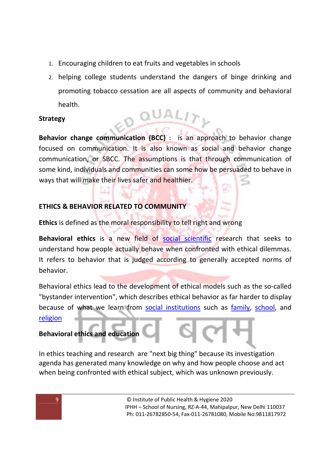- 1. Encouraging children to eat fruits and vegetables in schools
- 2. helping college students understand the dangers of binge drinking and promoting tobacco cessation are all aspects of community and behavioral health.

# **Strategy**

**Behavior change communication (BCC)** : is an approach to behavior change focused on communication. It is also known as social and behavior change communication, or SBCC. The assumptions is that through communication of some kind, individuals and communities can some how be persuaded to behave in ways that will make their lives safer and healthier.

QUAL

# **ETHICS & BEHAVIOR RELATED TO COMMUNITY**

**Ethics** is defined as the moral responsibility to tell right and wrong

**Behavioral ethics** is a new field of social scientific research that seeks to understand how people actually behave when confronted with ethical dilemmas. It refers to behavior that is judged according to generally accepted norms of behavior.

Behavioral ethics lead to the development of ethical models such as the so-called "bystander intervention", which describes ethical behavior as far harder to display because of what we learn from social institutions such as family, school, and religion

# **Behavioral ethics and education**

In ethics teaching and research are "next big thing" because its investigation agenda has generated many knowledge on why and how people choose and act when being confronted with ethical subject, which was unknown previously.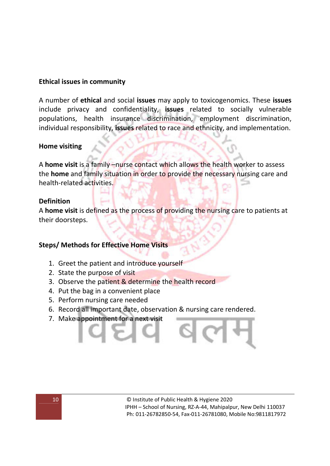#### **Ethical issues in community**

A number of **ethical** and social **issues** may apply to toxicogenomics. These **issues** include privacy and confidentiality, **issues** related to socially vulnerable populations, health insurance discrimination, employment discrimination, individual responsibility, **issues** related to race and ethnicity, and implementation.

#### **Home visiting**

A **home visit** is a family –nurse contact which allows the health worker to assess the **home** and family situation in order to provide the necessary nursing care and health-related activities.

#### **Definition**

A **home visit** is defined as the process of providing the nursing care to patients at their doorsteps.

### **Steps/ Methods for Effective Home Visits**

- 1. Greet the patient and introduce yourself
- 2. State the purpose of visit
- 3. Observe the patient & determine the health record
- 4. Put the bag in a convenient place
- 5. Perform nursing care needed
- 6. Record all important date, observation & nursing care rendered.
- 7. Make appointment for a next visit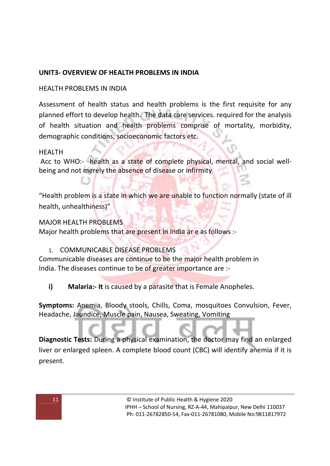# **UNIT3- OVERVIEW OF HEALTH PROBLEMS IN INDIA**

### HEALTH PROBLEMS IN INDIA

Assessment of health status and health problems is the first requisite for any planned effort to develop health. The data care services. required for the analysis of health situation and health problems comprise of mortality, morbidity, demographic conditions, socioeconomic factors etc.

#### HEALTH

 Acc to WHO:- health as a state of complete physical, mental, and social wellbeing and not merely the absence of disease or infirmity

"Health problem is a state in which we are unable to function normally (state of ill health, unhealthiness)"

### MAJOR HEALTH PROBLEMS

Major health problems that are present in India ar e as follows :-

### 1. COMMUNICABLE DISEASE PROBLEMS

Communicable diseases are continue to be the major health problem in India. The diseases continue to be of greater importance are :-

### **i) Malaria:- It** is caused by a parasite that is Female Anopheles.

**Symptoms:** Anemia, Bloody stools, Chills, Coma, mosquitoes Convulsion, Fever, Headache, Jaundice, Muscle pain, Nausea, Sweating, Vomiting

**Diagnostic Tests:** During a physical examination, the doctor may find an enlarged liver or enlarged spleen. A complete blood count (CBC) will identify anemia if it is present.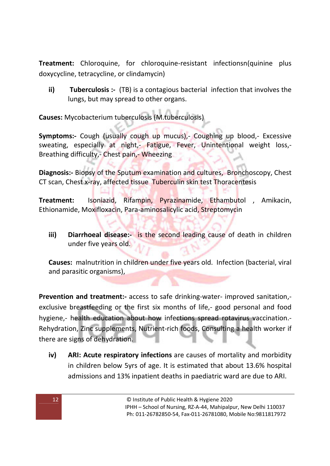**Treatment:** Chloroquine, for chloroquine-resistant infectionsn(quinine plus doxycycline, tetracycline, or clindamycin)

**ii) Tuberculosis :-** (TB) is a contagious bacterial infection that involves the lungs, but may spread to other organs.

**Causes:** Mycobacterium tuberculosis (M.tuberculosis)

**Symptoms:-** Cough (usually cough up mucus),- Coughing up blood,- Excessive sweating, especially at night,- Fatigue, Fever, Unintentional weight loss,-Breathing difficulty,- Chest pain,- Wheezing

**Diagnosis:-** Biopsy of the Sputum examination and cultures, Bronchoscopy, Chest CT scan, Chest x-ray, affected tissue Tuberculin skin test Thoracentesis

**Treatment:** Isoniazid, Rifampin, Pyrazinamide, Ethambutol , Amikacin, Ethionamide, Moxifloxacin, Para-aminosalicylic acid, Streptomycin

**iii) Diarrhoeal disease:-** is the second leading cause of death in children under five years old.

**Causes:** malnutrition in children under five years old. Infection (bacterial, viral and parasitic organisms),

**Prevention and treatment:-** access to safe drinking-water- improved sanitation,exclusive breastfeeding or the first six months of life,- good personal and food hygiene,- health education about how infections spread rotavirus vaccination.- Rehydration, Zinc supplements, Nutrient-rich foods, Consulting a health worker if there are signs of dehydration.

**iv) ARI: Acute respiratory infections** are causes of mortality and morbidity in children below 5yrs of age. It is estimated that about 13.6% hospital admissions and 13% inpatient deaths in paediatric ward are due to ARI.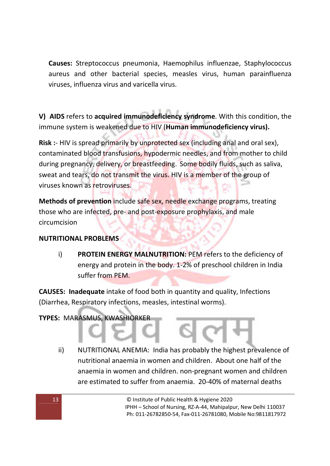**Causes:** Streptococcus pneumonia, Haemophilus influenzae, Staphylococcus aureus and other bacterial species, measles virus, human parainfluenza viruses, influenza virus and varicella virus.

**V) AIDS** refers to **acquired immunodeficiency syndrome**. With this condition, the immune system is weakened due to HIV (**Human immunodeficiency virus).**

**Risk :**- HIV is spread primarily by unprotected sex (including anal and oral sex), contaminated blood transfusions, hypodermic needles, and from mother to child during pregnancy, delivery, or breastfeeding. Some bodily fluids, such as saliva, sweat and tears, do not transmit the virus. HIV is a member of the group of viruses known as retroviruses.

**Methods of prevention** include safe sex, needle exchange programs, treating those who are infected, pre- and post-exposure prophylaxis, and male circumcision

### **NUTRITIONAL PROBLEMS**

i) **PROTEIN ENERGY MALNUTRITION:** PEM refers to the deficiency of energy and protein in the body. 1-2% of preschool children in India suffer from PEM.

**CAUSES: Inadequate** intake of food both in quantity and quality, Infections (Diarrhea, Respiratory infections, measles, intestinal worms).

### **TYPES:** MARASMUS, KWASHIORKER

ii) NUTRITIONAL ANEMIA: India has probably the highest prevalence of nutritional anaemia in women and children. About one half of the anaemia in women and children. non-pregnant women and children are estimated to suffer from anaemia. 20-40% of maternal deaths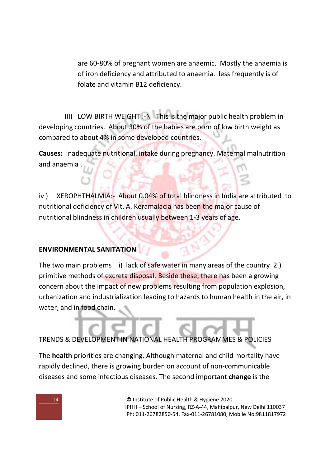are 60-80% of pregnant women are anaemic. Mostly the anaemia is of iron deficiency and attributed to anaemia. less frequently is of folate and vitamin B12 deficiency.

 III) LOW BIRTH WEIGHT :-N This is the major public health problem in developing countries. About 30% of the babies are born of low birth weight as compared to about 4% in some developed countries.

**Causes:** Inadequate nutritional. intake during pregnancy. Maternal malnutrition and anaemia .

iv ) XEROPHTHALMIA:- About 0.04% of total blindness in India are attributed to nutritional deficiency of Vit. A. Keramalacia has been the major cause of nutritional blindness in children usually between 1-3 years of age.

# **ENVIRONMENTAL SANITATION**

The two main problems i) lack of safe water in many areas of the country 2.) primitive methods of excreta disposal. Beside these, there has been a growing concern about the impact of new problems resulting from population explosion, urbanization and industrialization leading to hazards to human health in the air, in water, and in food chain.

TRENDS & DEVELOPMENT IN NATIONAL HEALTH PROGRAMMES & POLICIES

The **health** priorities are changing. Although maternal and child mortality have rapidly declined, there is growing burden on account of non-communicable diseases and some infectious diseases. The second important **change** is the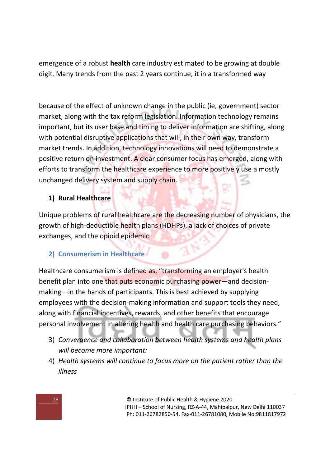emergence of a robust **health** care industry estimated to be growing at double digit. Many trends from the past 2 years continue, it in a transformed way

because of the effect of unknown change in the public (ie, government) sector market, along with the tax reform legislation. Information technology remains important, but its user base and timing to deliver information are shifting, along with potential disruptive applications that will, in their own way, transform market trends. In addition, technology innovations will need to demonstrate a positive return on investment. A clear consumer focus has emerged, along with efforts to transform the healthcare experience to more positively use a mostly unchanged delivery system and supply chain.

# **1) Rural Healthcare**

Unique problems of rural healthcare are the decreasing number of physicians, the growth of high-deductible health plans (HDHPs), a lack of choices of private exchanges, and the opioid epidemic.

# **2) Consumerism in Healthcare**

Healthcare consumerism is defined as, "transforming an employer's health benefit plan into one that puts economic purchasing power—and decisionmaking—in the hands of participants. This is best achieved by supplying employees with the decision-making information and support tools they need, along with financial incentives, rewards, and other benefits that encourage personal involvement in altering health and health care purchasing behaviors."

- 3) *Convergence and collaboration between health systems and health plans will become more important:*
- 4) *Health systems will continue to focus more on the patient rather than the illness*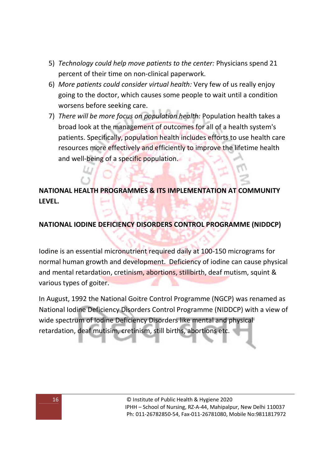- 5) *Technology could help move patients to the center:* Physicians spend 21 percent of their time on non-clinical paperwork.
- 6) *More patients could consider virtual health:* Very few of us really enjoy going to the doctor, which causes some people to wait until a condition worsens before seeking care.
- 7) *There will be more focus on population health:* Population health takes a broad look at the management of outcomes for all of a health system's patients. Specifically, population health includes efforts to use health care resources more effectively and efficiently to improve the lifetime health and well-being of a specific population.

# **NATIONAL HEALTH PROGRAMMES & ITS IMPLEMENTATION AT COMMUNITY LEVEL.**

### **NATIONAL IODINE DEFICIENCY DISORDERS CONTROL PROGRAMME (NIDDCP)**

Iodine is an essential micronutrient required daily at 100-150 micrograms for normal human growth and development. Deficiency of iodine can cause physical and mental retardation, cretinism, abortions, stillbirth, deaf mutism, squint & various types of goiter.

In August, 1992 the National Goitre Control Programme (NGCP) was renamed as National Iodine Deficiency Disorders Control Programme (NIDDCP) with a view of wide spectrum of Iodine Deficiency Disorders like mental and physical retardation, deaf mutisim, cretinism, still births, abortions etc.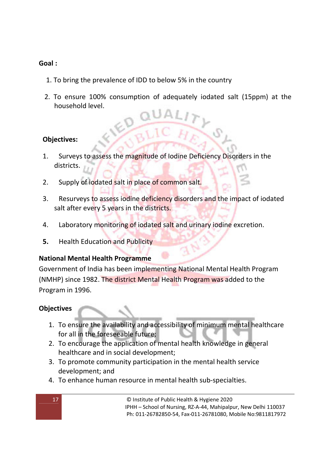### **Goal :**

- 1. To bring the prevalence of IDD to below 5% in the country
- 2. To ensure 100% consumption of adequately iodated salt (15ppm) at the household level.

### **Objectives:**

- 1. Surveys to assess the magnitude of Iodine Deficiency Disorders in the districts.
- 2. Supply of iodated salt in place of common salt.
- 3. Resurveys to assess iodine deficiency disorders and the impact of iodated salt after every 5 years in the districts.
- 4. Laboratory monitoring of iodated salt and urinary iodine excretion.
- **5.** Health Education and Publicity

#### **National Mental Health Programme**

Government of India has been implementing National Mental Health Program (NMHP) since 1982. The district Mental Health Program was added to the Program in 1996.

### **Objectives**

- 1. To ensure the availability and accessibility of minimum mental healthcare for all in the foreseeable future;
- 2. To encourage the application of mental health knowledge in general healthcare and in social development;
- 3. To promote community participation in the mental health service development; and
- 4. To enhance human resource in mental health sub-specialties.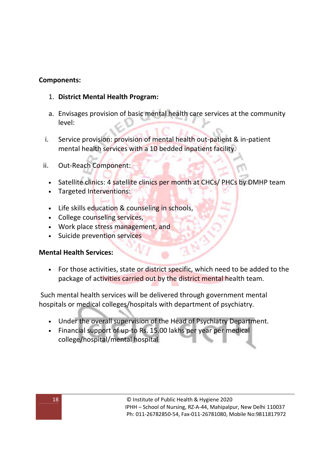#### **Components:**

- 1. **District Mental Health Program:**
- a. Envisages provision of basic mental health care services at the community level:
- i. Service provision: provision of mental health out-patient & in-patient mental health services with a 10 bedded inpatient facility.
- ii. Out-Reach Component:
	- Satellite clinics: 4 satellite clinics per month at CHCs/ PHCs by DMHP team
	- Targeted Interventions:
	- Life skills education & counseling in schools,
	- College counseling services,
	- Work place stress management, and
	- Suicide prevention services

#### **Mental Health Services:**

• For those activities, state or district specific, which need to be added to the package of activities carried out by the district mental health team.

 Such mental health services will be delivered through government mental hospitals or medical colleges/hospitals with department of psychiatry.

- Under the overall supervision of the Head of Psychiatry Department.
- Financial support of up-to Rs. 15.00 lakhs per year per medical college/hospital/mental hospital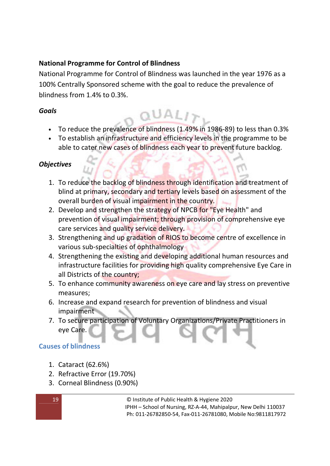# **National Programme for Control of Blindness**

National Programme for Control of Blindness was launched in the year 1976 as a 100% Centrally Sponsored scheme with the goal to reduce the prevalence of blindness from 1.4% to 0.3%.

### *Goals*

• To reduce the prevalence of blindness (1.49% in 1986-89) to less than 0.3%

 $QUALI$ 

• To establish an infrastructure and efficiency levels in the programme to be able to cater new cases of blindness each year to prevent future backlog.

### *Objectives*

- 1. To reduce the backlog of blindness through identification and treatment of blind at primary, secondary and tertiary levels based on assessment of the overall burden of visual impairment in the country.
- 2. Develop and strengthen the strategy of NPCB for "Eye Health" and prevention of visual impairment; through provision of comprehensive eye care services and quality service delivery.
- 3. Strengthening and up gradation of RIOS to become centre of excellence in various sub-specialties of ophthalmology
- 4. Strengthening the existing and developing additional human resources and infrastructure facilities for providing high quality comprehensive Eye Care in all Districts of the country;
- 5. To enhance community awareness on eye care and lay stress on preventive measures;
- 6. Increase and expand research for prevention of blindness and visual impairment
- 7. To secure participation of Voluntary Organizations/Private Practitioners in eye Care.

### **Causes of blindness**

- 1. Cataract (62.6%)
- 2. Refractive Error (19.70%)
- 3. Corneal Blindness (0.90%)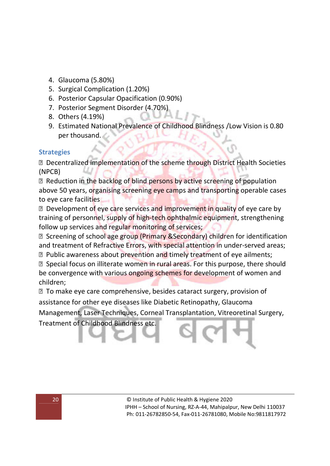- 4. Glaucoma (5.80%)
- 5. Surgical Complication (1.20%)
- 6. Posterior Capsular Opacification (0.90%)
- 7. Posterior Segment Disorder (4.70%)
- 8. Others (4.19%)
- 9. Estimated National Prevalence of Childhood Blindness /Low Vision is 0.80 per thousand.

#### **Strategies**

**Decentralized implementation of the scheme through District Health Societies** (NPCB)

**Reduction in the backlog of blind persons by active screening of population** above 50 years, organising screening eye camps and transporting operable cases to eye care facilities

**Development of eye care services and improvement in quality of eye care by** training of personnel, supply of high-tech ophthalmic equipment, strengthening follow up services and regular monitoring of services;

**sqrt825 Screening of school age group (Primary &Secondary) children for identification** and treatment of Refractive Errors, with special attention in under-served areas;

**■ Public awareness about prevention and timely treatment of eye ailments; sqrt8 Special focus on illiterate women in rural areas. For this purpose, there should** be convergence with various ongoing schemes for development of women and children;

 To make eye care comprehensive, besides cataract surgery, provision of assistance for other eye diseases like Diabetic Retinopathy, Glaucoma

Management, Laser Techniques, Corneal Transplantation, Vitreoretinal Surgery,

Treatment of Childhood Blindness etc.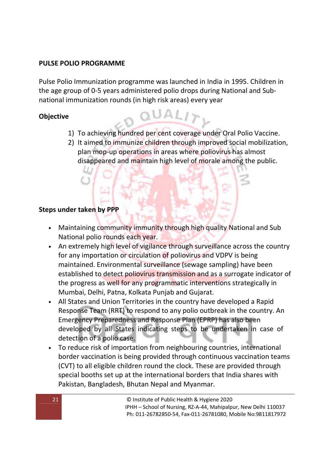#### **PULSE POLIO PROGRAMME**

Pulse Polio Immunization programme was launched in India in 1995. Children in the age group of 0-5 years administered polio drops during National and Subnational immunization rounds (in high risk areas) every year

### **Objective**

1) To achieving hundred per cent coverage under Oral Polio Vaccine.

QUALITY

2) It aimed to immunize children through improved social mobilization, plan mop-up operations in areas where poliovirus has almost disappeared and maintain high level of morale among the public.

#### **Steps under taken by PPP**

- Maintaining community immunity through high quality National and Sub National polio rounds each year.
- An extremely high level of vigilance through surveillance across the country for any importation or circulation of poliovirus and VDPV is being maintained. Environmental surveillance (sewage sampling) have been established to detect poliovirus transmission and as a surrogate indicator of the progress as well for any programmatic interventions strategically in Mumbai, Delhi, Patna, Kolkata Punjab and Gujarat.
- All States and Union Territories in the country have developed a Rapid Response Team (RRT) to respond to any polio outbreak in the country. An Emergency Preparedness and Response Plan (EPRP) has also been developed by all States indicating steps to be undertaken in case of detection of a polio case.
- To reduce risk of importation from neighbouring countries, international border vaccination is being provided through continuous vaccination teams (CVT) to all eligible children round the clock. These are provided through special booths set up at the international borders that India shares with Pakistan, Bangladesh, Bhutan Nepal and Myanmar.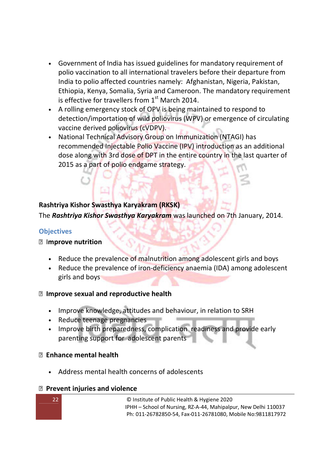- Government of India has issued guidelines for mandatory requirement of polio vaccination to all international travelers before their departure from India to polio affected countries namely: Afghanistan, Nigeria, Pakistan, Ethiopia, Kenya, Somalia, Syria and Cameroon. The mandatory requirement is effective for travellers from  $1<sup>st</sup>$  March 2014.
- A rolling emergency stock of OPV is being maintained to respond to detection/importation of wild poliovirus (WPV) or emergence of circulating vaccine derived poliovirus (cVDPV).
- National Technical Advisory Group on Immunization (NTAGI) has recommended Injectable Polio Vaccine (IPV) introduction as an additional dose along with 3rd dose of DPT in the entire country in the last quarter of 2015 as a part of polio endgame strategy.

# **Rashtriya Kishor Swasthya Karyakram (RKSK)**

The *Rashtriya Kishor Swasthya Karyakram* was launched on 7th January, 2014.

#### **Objectives**

#### I**mprove nutrition**

- Reduce the prevalence of malnutrition among adolescent girls and boys
- Reduce the prevalence of iron-deficiency anaemia (IDA) among adolescent girls and boys

### **Improve sexual and reproductive health**

- Improve knowledge, attitudes and behaviour, in relation to SRH
- Reduce teenage pregnancies
- Improve birth preparedness, complication readiness and provide early parenting support for adolescent parents

### **Enhance mental health**

• Address mental health concerns of adolescents

#### **Prevent injuries and violence**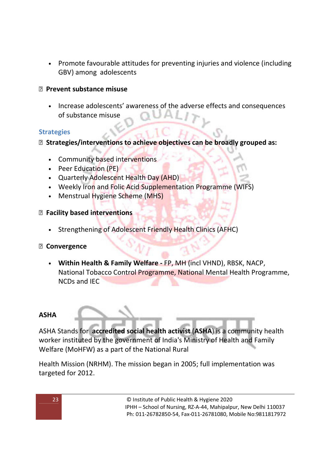• Promote favourable attitudes for preventing injuries and violence (including GBV) among adolescents

#### **Prevent substance misuse**

• Increase adolescents' awareness of the adverse effects and consequences of substance misuse

#### **Strategies**

**Strategies/interventions to achieve objectives can be broadly grouped as:**

- Community based interventions
- Peer Education (PE)
- Quarterly Adolescent Health Day (AHD)
- Weekly Iron and Folic Acid Supplementation Programme (WIFS)
- Menstrual Hygiene Scheme (MHS)

#### **Facility based interventions**

• Strengthening of Adolescent Friendly Health Clinics (AFHC)

#### **Convergence**

• **Within Health & Family Welfare -** FP, MH (incl VHND), RBSK, NACP, National Tobacco Control Programme, National Mental Health Programme, NCDs and IEC

#### **ASHA**

ASHA Stands for **accredited social health activist** (**ASHA**) is a community health worker instituted by the government of India's Ministry of Health and Family Welfare (MoHFW) as a part of the National Rural

Health Mission (NRHM). The mission began in 2005; full implementation was targeted for 2012.

23 © Institute of Public Health & Hygiene 2020 IPHH – School of Nursing, RZ-A-44, Mahipalpur, New Delhi 110037 Ph: 011-26782850-54, Fax-011-26781080, Mobile No:9811817972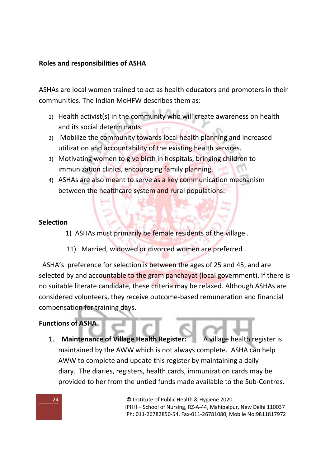### **Roles and responsibilities of ASHA**

ASHAs are local women trained to act as health educators and promoters in their communities. The Indian MoHFW describes them as:-

- 1) Health activist(s) in the community who will create awareness on health and its social determinants.
- 2) Mobilize the community towards local health planning and increased utilization and accountability of the existing health services.
- 3) Motivating women to give birth in hospitals, bringing children to immunization clinics, encouraging family planning.
- 4) ASHAs are also meant to serve as a key communication mechanism between the healthcare system and rural populations.

#### **Selection**

- 1) ASHAs must primarily be female residents of the village .
- 11) Married, widowed or divorced women are preferred .

 ASHA's preference for selection is between the ages of 25 and 45, and are selected by and accountable to the gram panchayat (local government). If there is no suitable literate candidate, these criteria may be relaxed. Although ASHAs are considered volunteers, they receive outcome-based remuneration and financial compensation for training days.

### **Functions of ASHA**

1. **Maintenance of Village Health Register:** A village health register is maintained by the AWW which is not always complete. ASHA can help AWW to complete and update this register by maintaining a daily diary. The diaries, registers, health cards, immunization cards may be provided to her from the untied funds made available to the Sub-Centres.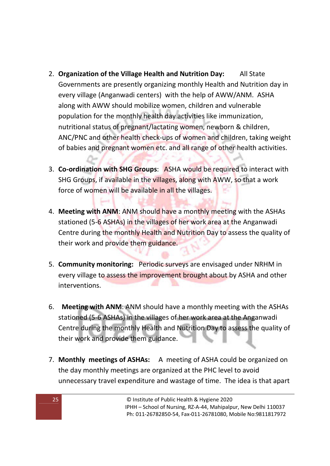- 2. **Organization of the Village Health and Nutrition Day:** All State Governments are presently organizing monthly Health and Nutrition day in every village (Anganwadi centers) with the help of AWW/ANM. ASHA along with AWW should mobilize women, children and vulnerable population for the monthly health day activities like immunization, nutritional status of pregnant/lactating women, newborn & children, ANC/PNC and other health check-ups of women and children, taking weight of babies and pregnant women etc. and all range of other health activities.
- 3. **Co-ordination with SHG Groups**: ASHA would be required to interact with SHG Groups, if available in the villages, along with AWW, so that a work force of women will be available in all the villages.
- 4. **Meeting with ANM**: ANM should have a monthly meeting with the ASHAs stationed (5-6 ASHAs) in the villages of her work area at the Anganwadi Centre during the monthly Health and Nutrition Day to assess the quality of their work and provide them guidance.
- 5. **Community monitoring:** Periodic surveys are envisaged under NRHM in every village to assess the improvement brought about by ASHA and other interventions.
- 6. **Meeting with ANM**: ANM should have a monthly meeting with the ASHAs stationed (5-6 ASHAs) in the villages of her work area at the Anganwadi Centre during the monthly Health and Nutrition Day to assess the quality of their work and provide them guidance.
- 7. **Monthly meetings of ASHAs:** A meeting of ASHA could be organized on the day monthly meetings are organized at the PHC level to avoid unnecessary travel expenditure and wastage of time. The idea is that apart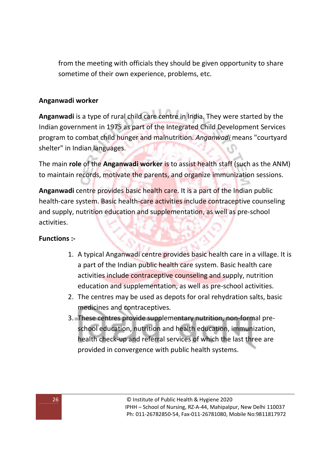from the meeting with officials they should be given opportunity to share sometime of their own experience, problems, etc.

## **Anganwadi worker**

**Anganwadi** is a type of rural child care centre in India. They were started by the Indian government in 1975 as part of the Integrated Child Development Services program to combat child hunger and malnutrition. *Anganwadi* means "courtyard shelter" in Indian languages.

The main **role** of the **Anganwadi worker** is to assist health staff (such as the ANM) to maintain records, motivate the parents, and organize immunization sessions.

**Anganwadi** centre provides basic health care. It is a part of the Indian public health-care system. Basic health-care activities include contraceptive counseling and supply, nutrition education and supplementation, as well as pre-school activities.

### **Functions :-**

- 1. A typical Anganwadi centre provides basic health care in a village. It is a part of the Indian public health care system. Basic health care activities include contraceptive counseling and supply, nutrition education and supplementation, as well as pre-school activities.
- 2. The centres may be used as depots for oral rehydration salts, basic medicines and contraceptives.
- 3. These centres provide supplementary nutrition, non-formal preschool education, nutrition and health education, immunization, health check-up and referral services of which the last three are provided in convergence with public health systems.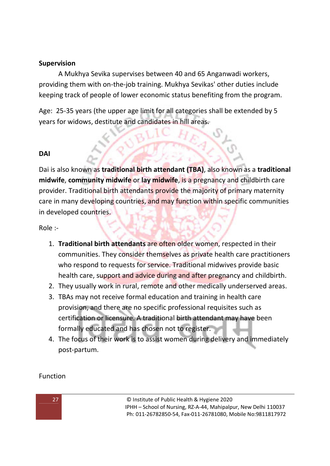### **Supervision**

A Mukhya Sevika supervises between 40 and 65 Anganwadi workers, providing them with on-the-job training. Mukhya Sevikas' other duties include keeping track of people of lower economic status benefiting from the program.

Age: 25-35 years (the upper age limit for all categories shall be extended by 5 years for widows, destitute and candidates in hill areas.

### **DAI**

Dai is also known as **traditional birth attendant (TBA)**, also known as a **traditional midwife**, **community midwife** or **lay midwife**, is a pregnancy and childbirth care provider. Traditional birth attendants provide the majority of primary maternity care in many developing countries, and may function within specific communities in developed countries.

Role :-

- 1. **Traditional birth attendants** are often older women, respected in their communities. They consider themselves as private health care practitioners who respond to requests for service. Traditional midwives provide basic health care, support and advice during and after pregnancy and childbirth.
- 2. They usually work in rural, remote and other medically underserved areas.
- 3. TBAs may not receive formal education and training in health care provision, and there are no specific professional requisites such as certification or licensure. A traditional birth attendant may have been formally educated and has chosen not to register.
- 4. The focus of their work is to assist women during delivery and immediately post-partum.

Function

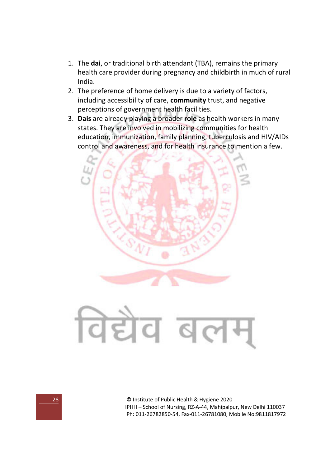- 1. The **dai**, or traditional birth attendant (TBA), remains the primary health care provider during pregnancy and childbirth in much of rural India.
- 2. The preference of home delivery is due to a variety of factors, including accessibility of care, **community** trust, and negative perceptions of government health facilities.
- 3. **Dais** are already playing a broader **role** as health workers in many states. They are involved in mobilizing communities for health education, immunization, family planning, tuberculosis and HIV/AIDs control and awareness, and for health insurance to mention a few.



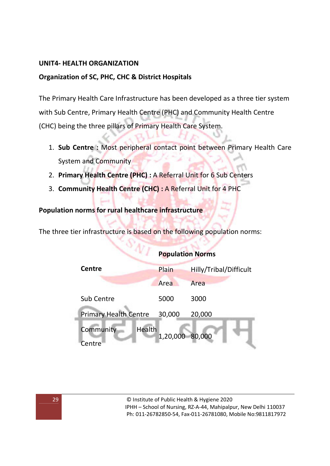#### **UNIT4- HEALTH ORGANIZATION**

#### **Organization of SC, PHC, CHC & District Hospitals**

The Primary Health Care Infrastructure has been developed as a three tier system with Sub Centre, Primary Health Centre (PHC) and Community Health Centre (CHC) being the three pillars of Primary Health Care System.

- 1. **Sub Centre :** Most peripheral contact point between Primary Health Care System and Community ÷.
- 2. **Primary Health Centre (PHC) :** A Referral Unit for 6 Sub Centers

 $B_{\Gamma}$ 

3. **Community Health Centre (CHC) :** A Referral Unit for 4 PHC

#### **Population norms for rural healthcare infrastructure**

The three tier infrastructure is based on the following population norms:

|                                                  | <b>Population Norms</b> |                        |
|--------------------------------------------------|-------------------------|------------------------|
| <b>Centre</b>                                    | Plain                   | Hilly/Tribal/Difficult |
|                                                  | Area                    | Area                   |
| <b>Sub Centre</b>                                | 5000                    | 3000                   |
| <b>Primary Health Centre</b>                     | 30,000                  | 20,000                 |
| Community<br>Health<br>1,20,000 80,000<br>Centre |                         |                        |

g)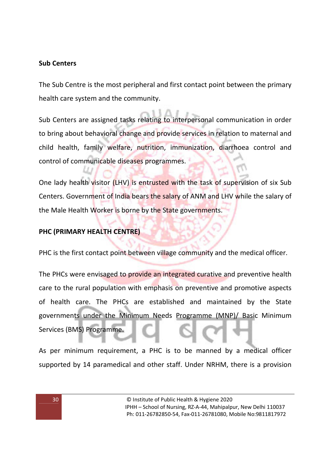#### **Sub Centers**

The Sub Centre is the most peripheral and first contact point between the primary health care system and the community.

Sub Centers are assigned tasks relating to interpersonal communication in order to bring about behavioral change and provide services in relation to maternal and child health, family welfare, nutrition, immunization, diarrhoea control and control of communicable diseases programmes.

One lady health visitor (LHV) is entrusted with the task of supervision of six Sub Centers. Government of India bears the salary of ANM and LHV while the salary of the Male Health Worker is borne by the State governments.

### **PHC (PRIMARY HEALTH CENTRE)**

PHC is the first contact point between village community and the medical officer.

The PHCs were envisaged to provide an integrated curative and preventive health care to the rural population with emphasis on preventive and promotive aspects of health care. The PHCs are established and maintained by the State governments under the Minimum Needs Programme (MNP)/ Basic Minimum Services (BMS) Programme.

As per minimum requirement, a PHC is to be manned by a medical officer supported by 14 paramedical and other staff. Under NRHM, there is a provision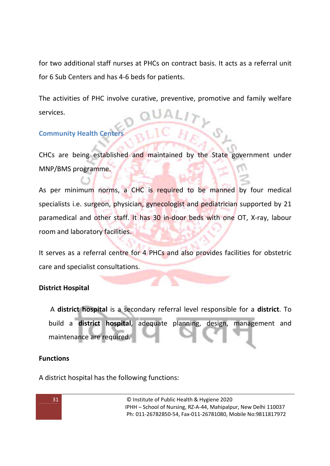for two additional staff nurses at PHCs on contract basis. It acts as a referral unit for 6 Sub Centers and has 4-6 beds for patients.

The activities of PHC involve curative, preventive, promotive and family welfare services.

### **Community Health Centers**

CHCs are being established and maintained by the State government under MNP/BMS programme.

As per minimum norms, a CHC is required to be manned by four medical specialists i.e. surgeon, physician, gynecologist and pediatrician supported by 21 paramedical and other staff. It has 30 in-door beds with one OT, X-ray, labour room and laboratory facilities.

It serves as a referral centre for 4 PHCs and also provides facilities for obstetric care and specialist consultations.

### **District Hospital**

 A **district hospital** is a secondary referral level responsible for a **district**. To build a **district hospital**, adequate planning, design, management and maintenance are required.

### **Functions**

A district hospital has the following functions: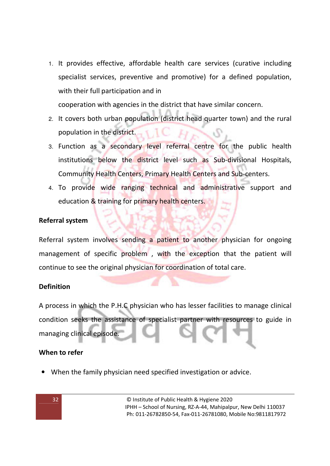1. It provides effective, affordable health care services (curative including specialist services, preventive and promotive) for a defined population, with their full participation and in

cooperation with agencies in the district that have similar concern.

- 2. It covers both urban population (district head quarter town) and the rural population in the district.
- 3. Function as a secondary level referral centre for the public health institutions below the district level such as Sub-divisional Hospitals, Community Health Centers, Primary Health Centers and Sub-centers.
- 4. To provide wide ranging technical and administrative support and education & training for primary health centers.

### **Referral system**

Referral system involves sending a patient to another physician for ongoing management of specific problem , with the exception that the patient will continue to see the original physician for coordination of total care.

### **Definition**

A process in which the P.H.C physician who has lesser facilities to manage clinical condition seeks the assistance of specialist partner with resources to guide in managing clinical episode.

#### **When to refer**

• When the family physician need specified investigation or advice.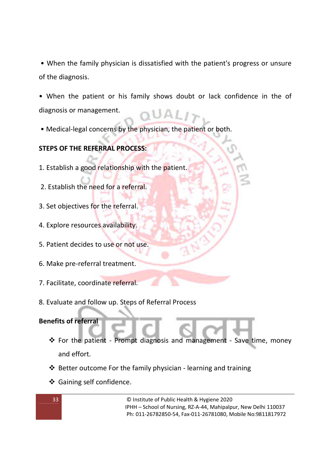• When the family physician is dissatisfied with the patient's progress or unsure of the diagnosis.

• When the patient or his family shows doubt or lack confidence in the of diagnosis or management.

• Medical-legal concerns by the physician, the patient or both.

# **STEPS OF THE REFERRAL PROCESS:**

- 1. Establish a good relationship with the patient.
- 2. Establish the need for a referral.
- 3. Set objectives for the referral.
- 4. Explore resources availability.
- 5. Patient decides to use or not use.
- 6. Make pre-referral treatment.
- 7. Facilitate, coordinate referral.
- 8. Evaluate and follow up. Steps of Referral Process

### **Benefits of referral**

- For the patient Prompt diagnosis and management Save time, money and effort.
- $\triangle$  Better outcome For the family physician learning and training
- ❖ Gaining self confidence.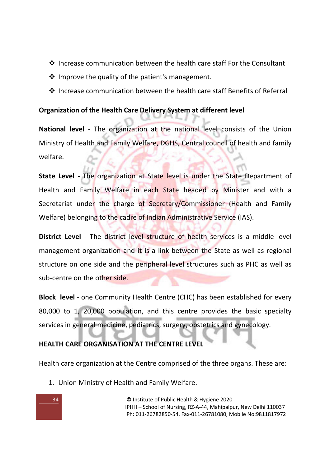- Increase communication between the health care staff For the Consultant
- $\cdot$  Improve the quality of the patient's management.
- ❖ Increase communication between the health care staff Benefits of Referral

### **Organization of the Health Care Delivery System at different level**

**National level** - The organization at the national level consists of the Union Ministry of Health and Family Welfare, DGHS, Central council of health and family welfare.

**State Level -** The organization at State level is under the State Department of Health and Family Welfare in each State headed by Minister and with a Secretariat under the charge of Secretary/Commissioner (Health and Family Welfare) belonging to the cadre of Indian Administrative Service (IAS).

**District Level** - The district level structure of health services is a middle level management organization and it is a link between the State as well as regional structure on one side and the peripheral level structures such as PHC as well as sub-centre on the other side.

**Block level** - one Community Health Centre (CHC) has been established for every 80,000 to 1, 20,000 population, and this centre provides the basic specialty services in general medicine, pediatrics, surgery, obstetrics and gynecology.

### **HEALTH CARE ORGANISATION AT THE CENTRE LEVEL**

Health care organization at the Centre comprised of the three organs. These are:

1. Union Ministry of Health and Family Welfare.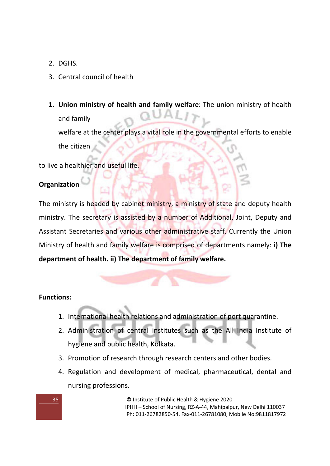2. DGHS.

# 3. Central council of health

**1. Union ministry of health and family welfare**: The union ministry of health and family welfare at the center plays a vital role in the governmental efforts to enable the citizen

to live a healthier and useful life.

# **Organization**

The ministry is headed by cabinet ministry, a ministry of state and deputy health ministry. The secretary is assisted by a number of Additional, Joint, Deputy and Assistant Secretaries and various other administrative staff. Currently the Union Ministry of health and family welfare is comprised of departments namely: **i) The department of health. ii) The department of family welfare.** 

# **Functions:**

- 1. International health relations and administration of port quarantine.
- 2. Administration of central institutes such as the All India Institute of hygiene and public health, Kolkata.
- 3. Promotion of research through research centers and other bodies.
- 4. Regulation and development of medical, pharmaceutical, dental and nursing professions.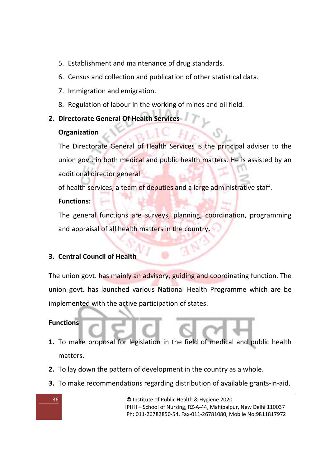- 5. Establishment and maintenance of drug standards.
- 6. Census and collection and publication of other statistical data.
- 7. Immigration and emigration.
- 8. Regulation of labour in the working of mines and oil field.
- **2. Directorate General Of Health Services**

### **Organization**

The Directorate General of Health Services is the principal adviser to the union govt. in both medical and public health matters. He is assisted by an additional director general

of health services, a team of deputies and a large administrative staff.

# **Functions:**

The general functions are surveys, planning, coordination, programming and appraisal of all health matters in the country**.** 

# **3. Central Council of Health**

The union govt. has mainly an advisory, guiding and coordinating function. The union govt. has launched various National Health Programme which are be implemented with the active participation of states.

### **Functions**

- **1.** To make proposal for legislation in the field of medical and public health matters.
- **2.** To lay down the pattern of development in the country as a whole.
- **3.** To make recommendations regarding distribution of available grants-in-aid.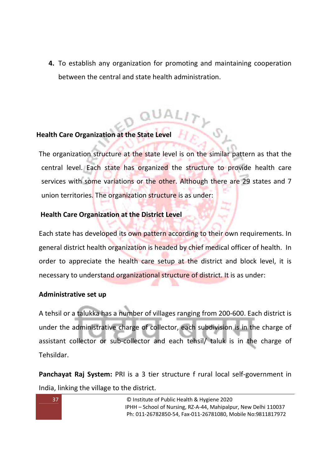**4.** To establish any organization for promoting and maintaining cooperation between the central and state health administration.

# **Health Care Organization at the State Level**

The organization structure at the state level is on the similar pattern as that the central level. Each state has organized the structure to provide health care services with some variations or the other. Although there are 29 states and 7 union territories. The organization structure is as under:

#### **Health Care Organization at the District Level**

Each state has developed its own pattern according to their own requirements. In general district health organization is headed by chief medical officer of health. In order to appreciate the health care setup at the district and block level, it is necessary to understand organizational structure of district. It is as under:

#### **Administrative set up**

A tehsil or a talukka has a number of villages ranging from 200-600. Each district is under the administrative charge of collector, each subdivision is in the charge of assistant collector or sub-collector and each tehsil/ taluk is in the charge of Tehsildar.

**Panchayat Raj System:** PRI is a 3 tier structure f rural local self-government in India, linking the village to the district.

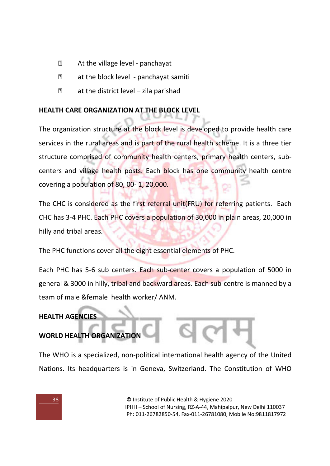- At the village level panchayat
- at the block level panchayat samiti
- $\mathbb{R}$  at the district level zila parishad

## **HEALTH CARE ORGANIZATION AT THE BLOCK LEVEL**

The organization structure at the block level is developed to provide health care services in the rural areas and is part of the rural health scheme. It is a three tier structure comprised of community health centers, primary health centers, subcenters and village health posts. Each block has one community health centre covering a population of 80, 00- 1, 20,000.

The CHC is considered as the first referral unit(FRU) for referring patients. Each CHC has 3-4 PHC. Each PHC covers a population of 30,000 in plain areas, 20,000 in hilly and tribal areas.

The PHC functions cover all the eight essential elements of PHC.

Each PHC has 5-6 sub centers. Each sub-center covers a population of 5000 in general & 3000 in hilly, tribal and backward areas. Each sub-centre is manned by a team of male &female health worker/ ANM.

## **HEALTH AGENCIES**

# **WORLD HEALTH ORGANIZATION**

The WHO is a specialized, non-political international health agency of the United Nations. Its headquarters is in Geneva, Switzerland. The Constitution of WHO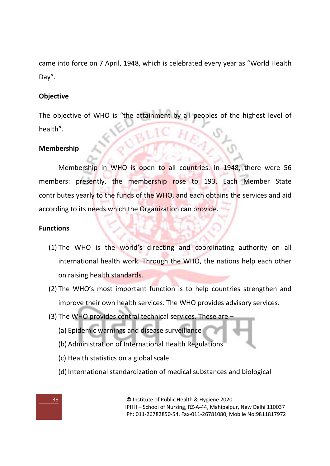came into force on 7 April, 1948, which is celebrated every year as "World Health Day".

## **Objective**

The objective of WHO is "the attainment by all peoples of the highest level of health".

#### **Membership**

Membership in WHO is open to all countries. In 1948, there were 56 members: presently, the membership rose to 193. Each Member State contributes yearly to the funds of the WHO, and each obtains the services and aid according to its needs which the Organization can provide.

#### **Functions**

- (1) The WHO is the world's directing and coordinating authority on all international health work. Through the WHO, the nations help each other on raising health standards.
- (2) The WHO's most important function is to help countries strengthen and improve their own health services. The WHO provides advisory services.
- (3) The WHO provides central technical services. These are
	- (a) Epidemic warnings and disease surveillance
	- (b) Administration of International Health Regulations
	- (c) Health statistics on a global scale
	- (d) International standardization of medical substances and biological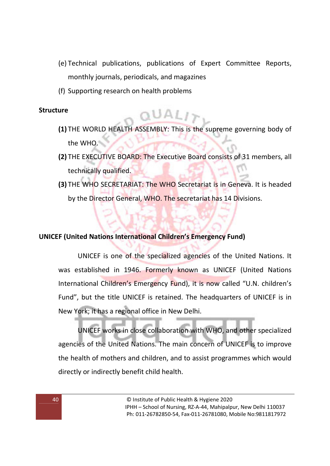- (e) Technical publications, publications of Expert Committee Reports, monthly journals, periodicals, and magazines
- (f) Supporting research on health problems

#### **Structure**

- **(1)** THE WORLD HEALTH ASSEMBLY: This is the supreme governing body of the WHO.
- **(2)** THE EXECUTIVE BOARD: The Executive Board consists of 31 members, all technically qualified.
- **(3)** THE WHO SECRETARIAT: The WHO Secretariat is in Geneva. It is headed by the Director General, WHO. The secretariat has 14 Divisions.

#### **UNICEF (United Nations International Children's Emergency Fund)**

UNICEF is one of the specialized agencies of the United Nations. It was established in 1946. Formerly known as UNICEF (United Nations International Children's Emergency Fund), it is now called "U.N. children's Fund", but the title UNICEF is retained. The headquarters of UNICEF is in New York; it has a regional office in New Delhi.

UNICEF works in close collaboration with WHO, and other specialized agencies of the United Nations. The main concern of UNICEF is to improve the health of mothers and children, and to assist programmes which would directly or indirectly benefit child health.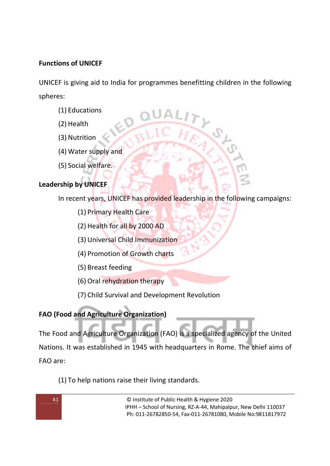## **Functions of UNICEF**

UNICEF is giving aid to India for programmes benefitting children in the following spheres:

- (1) Educations
- (2) Health
- (3) Nutrition
- (4) Water supply and
- (5) Social welfare.

## **Leadership by UNICEF**

In recent years, UNICEF has provided leadership in the following campaigns:

- (1) Primary Health Care
- (2) Health for all by 2000 AD
- (3) Universal Child Immunization
- (4) Promotion of Growth charts
- (5) Breast feeding
- (6) Oral rehydration therapy
- (7) Child Survival and Development Revolution

## **FAO (Food and Agriculture Organization)**

The Food and Agriculture Organization (FAO) is a specialized agency of the United Nations. It was established in 1945 with headquarters in Rome. The chief aims of FAO are:

(1) To help nations raise their living standards.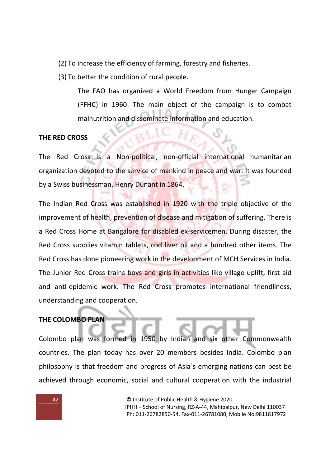(2) To increase the efficiency of farming, forestry and fisheries.

(3) To better the condition of rural people.

The FAO has organized a World Freedom from Hunger Campaign (FFHC) in 1960. The main object of the campaign is to combat malnutrition and disseminate information and education.

## **THE RED CROSS**

The Red Cross is a Non-political, non-official international humanitarian organization devoted to the service of mankind in peace and war. It was founded by a Swiss businessman, Henry Dunant in 1864.

The Indian Red Cross was established in 1920 with the triple objective of the improvement of health, prevention of disease and mitigation of suffering. There is a Red Cross Home at Bangalore for disabled ex-servicemen. During disaster, the Red Cross supplies vitamin tablets, cod liver oil and a hundred other items. The Red Cross has done pioneering work in the development of MCH Services in India. The Junior Red Cross trains boys and girls in activities like village uplift, first aid and anti-epidemic work. The Red Cross promotes international friendliness, understanding and cooperation.

## **THE COLOMBO PLAN**

Colombo plan was formed in 1950 by Indian and six other Commonwealth countries. The plan today has over 20 members besides India. Colombo plan philosophy is that freedom and progress of Asia`s emerging nations can best be achieved through economic, social and cultural cooperation with the industrial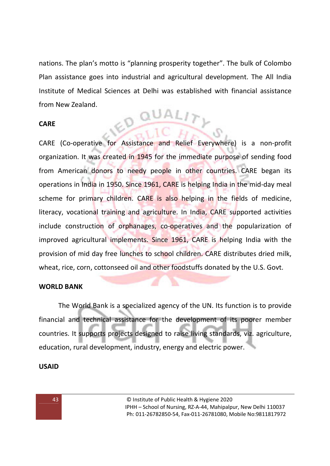nations. The plan's motto is "planning prosperity together". The bulk of Colombo Plan assistance goes into industrial and agricultural development. The All India Institute of Medical Sciences at Delhi was established with financial assistance from New Zealand. ED QUAL

#### **CARE**

CARE (Co-operative for Assistance and Relief Everywhere) is a non-profit organization. It was created in 1945 for the immediate purpose of sending food from American donors to needy people in other countries. CARE began its operations in India in 1950. Since 1961, CARE is helping India in the mid-day meal scheme for primary children. CARE is also helping in the fields of medicine, literacy, vocational training and agriculture. In India, CARE supported activities include construction of orphanages, co-operatives and the popularization of improved agricultural implements. Since 1961, CARE is helping India with the provision of mid day free lunches to school children. CARE distributes dried milk, wheat, rice, corn, cottonseed oil and other foodstuffs donated by the U.S. Govt.

#### **WORLD BANK**

The World Bank is a specialized agency of the UN. Its function is to provide financial and technical assistance for the development of its poorer member countries. It supports projects designed to raise living standards, viz. agriculture, education, rural development, industry, energy and electric power.

#### **USAID**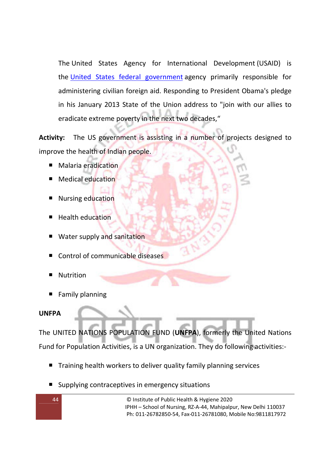The United States Agency for International Development (USAID) is the United States federal government agency primarily responsible for administering civilian foreign aid. Responding to President Obama's pledge in his January 2013 State of the Union address to "join with our allies to eradicate extreme poverty in the next two decades,"

**Activity:** The US government is assisting in a number of projects designed to improve the health of Indian people.

- Malaria eradication
- Medical education
- Nursing education
- Health education
- Water supply and sanitation
- Control of communicable diseases
- Nutrition
- **Family planning**

#### **UNFPA**

The UNITED NATIONS POPULATION FUND (**UNFPA**), formerly the United Nations Fund for Population Activities, is a UN organization. They do following activities:-

- Training health workers to deliver quality family planning services
- **Supplying contraceptives in emergency situations**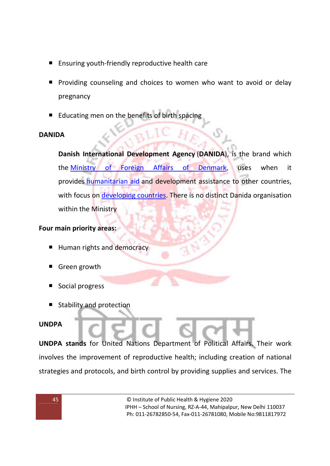- Ensuring youth-friendly reproductive health care
- **Providing counseling and choices to women who want to avoid or delay** pregnancy
- **Educating men on the benefits of birth spacing**

## **DANIDA**

**Danish International Development Agency** (**DANIDA**), is the brand which the Ministry of Foreign Affairs of Denmark, uses when it provides humanitarian aid and development assistance to other countries, with focus on developing countries. There is no distinct Danida organisation within the Ministry

## **Four main priority areas:**

- Human rights and democracy
- Green growth
- Social progress
- Stability and protection

## **UNDPA**

**UNDPA stands** for United Nations Department of Political Affairs. Their work involves the improvement of reproductive health; including creation of national strategies and protocols, and birth control by providing supplies and services. The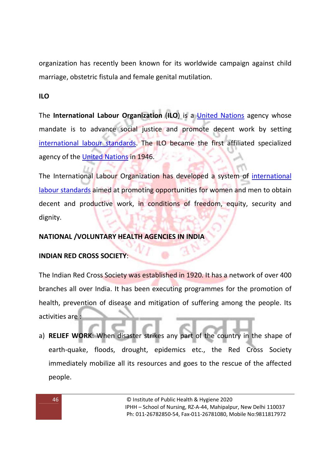organization has recently been known for its worldwide campaign against child marriage, obstetric fistula and female genital mutilation.

## **ILO**

The **International Labour Organization** (**ILO**) is a United Nations agency whose mandate is to advance social justice and promote decent work by setting international labour standards. The ILO became the first affiliated specialized agency of the United Nations in 1946.

The International Labour Organization has developed a system of international labour standards aimed at promoting opportunities for women and men to obtain decent and productive work, in conditions of freedom, equity, security and dignity.

## **NATIONAL /VOLUNTARY HEALTH AGENCIES IN INDIA**

## **INDIAN RED CROSS SOCIETY**:

The Indian Red Cross Society was established in 1920. It has a network of over 400 branches all over India. It has been executing programmes for the promotion of health, prevention of disease and mitigation of suffering among the people. Its activities are :

a) **RELIEF WORK**: When disaster strikes any part of the country in the shape of earth-quake, floods, drought, epidemics etc., the Red Cross Society immediately mobilize all its resources and goes to the rescue of the affected people.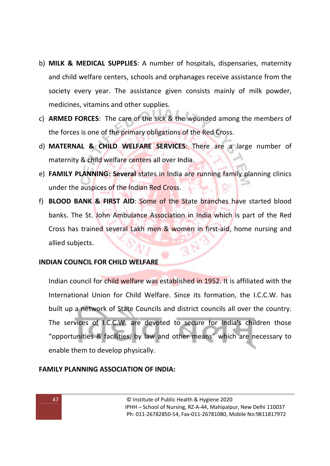- b) **MILK & MEDICAL SUPPLIES**: A number of hospitals, dispensaries, maternity and child welfare centers, schools and orphanages receive assistance from the society every year. The assistance given consists mainly of milk powder, medicines, vitamins and other supplies.
- c) **ARMED FORCES**: The care of the sick & the wounded among the members of the forces is one of the primary obligations of the Red Cross.
- d) **MATERNAL & CHILD WELFARE SERVICES**: There are a large number of maternity & child welfare centers all over India.
- e) **FAMILY PLANNING: Several** states in India are running family planning clinics under the auspices of the Indian Red Cross.
- f) **BLOOD BANK & FIRST AID**: Some of the State branches have started blood banks. The St. John Ambulance Association in India which is part of the Red Cross has trained several Lakh men & women in first-aid, home nursing and allied subjects.

#### **INDIAN COUNCIL FOR CHILD WELFARE**

Indian council for child welfare was established in 1952. It is affiliated with the International Union for Child Welfare. Since its formation, the I.C.C.W. has built up a network of State Councils and district councils all over the country. The services of I.C.C.W. are devoted to secure for India's children those "opportunities & facilities, by law and other means" which are necessary to enable them to develop physically.

#### **FAMILY PLANNING ASSOCIATION OF INDIA:**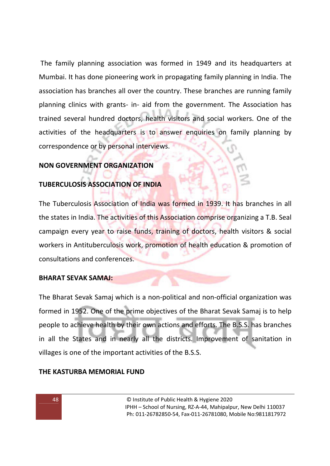The family planning association was formed in 1949 and its headquarters at Mumbai. It has done pioneering work in propagating family planning in India. The association has branches all over the country. These branches are running family planning clinics with grants- in- aid from the government. The Association has trained several hundred doctors, health visitors and social workers. One of the activities of the headquarters is to answer enquiries on family planning by correspondence or by personal interviews.

## **NON GOVERNMENT ORGANIZATION**

#### **TUBERCULOSIS ASSOCIATION OF INDIA**

The Tuberculosis Association of India was formed in 1939. It has branches in all the states in India. The activities of this Association comprise organizing a T.B. Seal campaign every year to raise funds, training of doctors, health visitors & social workers in Antituberculosis work, promotion of health education & promotion of consultations and conferences.

#### **BHARAT SEVAK SAMAJ:**

The Bharat Sevak Samaj which is a non-political and non-official organization was formed in 1952. One of the prime objectives of the Bharat Sevak Samaj is to help people to achieve health by their own actions and efforts. The B.S.S. has branches in all the States and in nearly all the districts. Improvement of sanitation in villages is one of the important activities of the B.S.S.

#### **THE KASTURBA MEMORIAL FUND**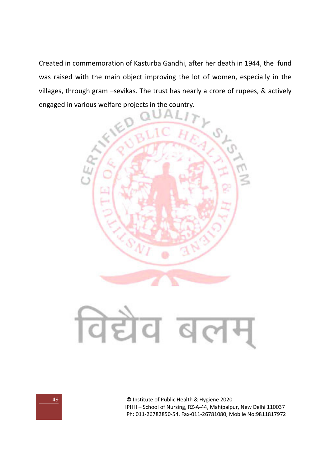Created in commemoration of Kasturba Gandhi, after her death in 1944, the fund was raised with the main object improving the lot of women, especially in the villages, through gram –sevikas. The trust has nearly a crore of rupees, & actively engaged in various welfare projects in the country.



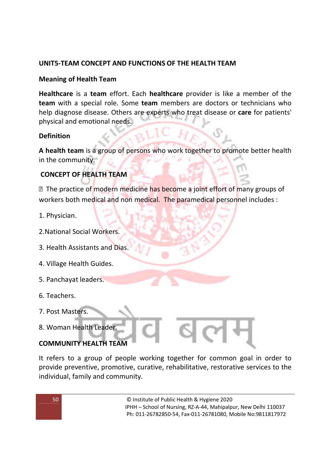## **UNIT5-TEAM CONCEPT AND FUNCTIONS OF THE HEALTH TEAM**

## **Meaning of Health Team**

**Healthcare** is a **team** effort. Each **healthcare** provider is like a member of the **team** with a special role. Some **team** members are doctors or technicians who help diagnose disease. Others are experts who treat disease or **care** for patients' physical and emotional needs.

#### **Definition**

**A health team** is a group of persons who work together to promote better health in the community.

## **CONCEPT OF HEALTH TEAM**

■ The practice of modern medicine has become a joint effort of many groups of workers both medical and non medical. The paramedical personnel includes :

- 1. Physician.
- 2.National Social Workers.
- 3. Health Assistants and Dias.
- 4. Village Health Guides.
- 5. Panchayat leaders.
- 6. Teachers.
- 7. Post Masters.
- 8. Woman Health Leader.

## **COMMUNITY HEALTH TEAM**

It refers to a group of people working together for common goal in order to provide preventive, promotive, curative, rehabilitative, restorative services to the individual, family and community.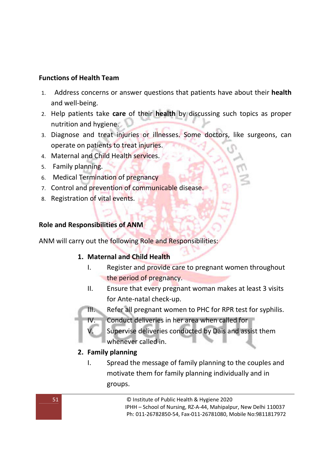#### **Functions of Health Team**

- 1. Address concerns or answer questions that patients have about their **health** and well-being.
- 2. Help patients take **care** of their **health** by discussing such topics as proper nutrition and hygiene.
- 3. Diagnose and treat injuries or illnesses. Some doctors, like surgeons, can operate on patients to treat injuries.
- 4. Maternal and Child Health services.
- 5. Family planning.
- 6. Medical Termination of pregnancy
- 7. Control and prevention of communicable disease.
- 8. Registration of vital events.

## **Role and Responsibilities of ANM**

ANM will carry out the following Role and Responsibilities:

## **1. Maternal and Child Health**

- I. Register and provide care to pregnant women throughout the period of pregnancy.
- II. Ensure that every pregnant woman makes at least 3 visits for Ante-natal check-up.
- III. Refer all pregnant women to PHC for RPR test for syphilis.
- IV. Conduct deliveries in her area when called for
	- Supervise deliveries conducted by Dais and assist them whenever called in.
- **2. Family planning** 
	- I. Spread the message of family planning to the couples and motivate them for family planning individually and in groups.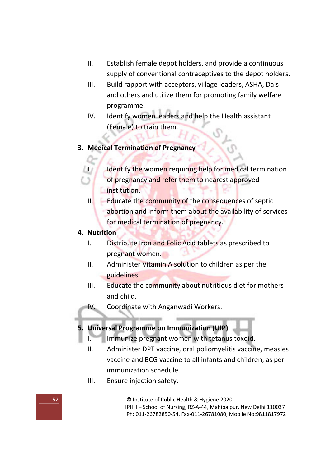- II. Establish female depot holders, and provide a continuous supply of conventional contraceptives to the depot holders.
- III. Build rapport with acceptors, village leaders, ASHA, Dais and others and utilize them for promoting family welfare programme.
- IV. Identify women leaders and help the Health assistant (Female) to train them.

## **3. Medical Termination of Pregnancy**

- I. Identify the women requiring help for medical termination of pregnancy and refer them to nearest approved institution.
- II. Educate the community of the consequences of septic abortion and inform them about the availability of services for medical termination of pregnancy.

#### **4. Nutrition**

- I. Distribute Iron and Folic Acid tablets as prescribed to pregnant women.
- II. Administer Vitamin A solution to children as per the guidelines.
- III. Educate the community about nutritious diet for mothers and child.
- IV. Coordinate with Anganwadi Workers.

#### **5. Universal Programme on Immunization (UIP)**

- I. Immunize pregnant women with tetanus toxoid.
- II. Administer DPT vaccine, oral poliomyelitis vaccine, measles vaccine and BCG vaccine to all infants and children, as per immunization schedule.
- III. Ensure injection safety.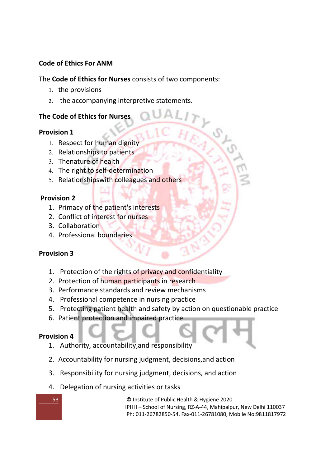## **Code of Ethics For ANM**

## The **Code of Ethics for Nurses** consists of two components:

- 1. the provisions
- 2. the accompanying interpretive statements.

## **The Code of Ethics for Nurses**

## **Provision 1**

- 1. Respect for human dignity
- 2. Relationships to patients
- 3. Thenature of health
- 4. The right to self-determination
- 5. Relationshipswith colleagues and others

## **Provision 2**

- 1. Primacy of the patient's interests
- 2. Conflict of interest for nurses
- 3. Collaboration
- 4. Professional boundaries

## **Provision 3**

- 1. Protection of the rights of privacy and confidentiality
- 2. Protection of human participants in research
- 3. Performance standards and review mechanisms
- 4. Professional competence in nursing practice
- 5. Protecting patient health and safety by action on questionable practice
- 6. Patient protection and impaired practice

## **Provision 4**

- 1. Authority, accountability,and responsibility
- 2. Accountability for nursing judgment, decisions,and action
- 3. Responsibility for nursing judgment, decisions, and action
- 4. Delegation of nursing activities or tasks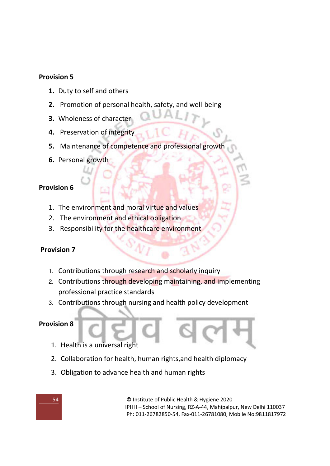### **Provision 5**

- **1.** Duty to self and others
- **2.** Promotion of personal health, safety, and well-being
- **3.** Wholeness of character
- **4.** Preservation of integrity
- **5.** Maintenance of competence and professional growth
- **6.** Personal growth

#### **Provision 6**

- 1. The environment and moral virtue and values
- 2. The environment and ethical obligation
- 3. Responsibility for the healthcare environment

## **Provision 7**

- 1. Contributions through research and scholarly inquiry
- 2. Contributions through developing maintaining, and implementing professional practice standards
- 3. Contributions through nursing and health policy development

## **Provision 8**

- 1. Health is a universal right
- 2. Collaboration for health, human rights,and health diplomacy
- 3. Obligation to advance health and human rights

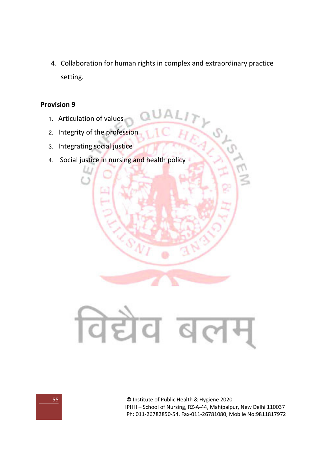4. Collaboration for human rights in complex and extraordinary practice setting.

#### **Provision 9**

- 1. Articulation of values
- 2. Integrity of the profession
- 3. Integrating social justice
- 4. Social justice in nursing and health policy

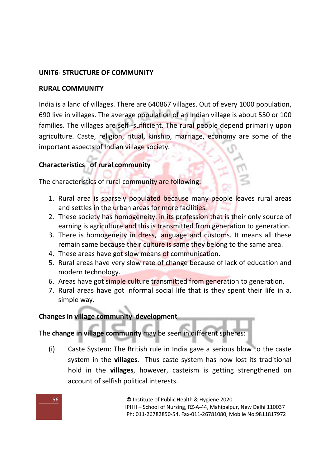## **UNIT6- STRUCTURE OF COMMUNITY**

## **RURAL COMMUNITY**

India is a land of villages. There are 640867 villages. Out of every 1000 population, 690 live in villages. The average population of an Indian village is about 550 or 100 families. The villages are self -sufficient. The rural people depend primarily upon agriculture. Caste, religion, ritual, kinship, marriage, economy are some of the important aspects of Indian village society.

## **Characteristics of rural community**

The characteristics of rural community are following:

- 1. Rural area is sparsely populated because many people leaves rural areas and settles in the urban areas for more facilities.
- 2. These society has homogeneity, in its profession that is their only source of earning is agriculture and this is transmitted from generation to generation.
- 3. There is homogeneity in dress, language and customs. It means all these remain same because their culture is same they belong to the same area.
- 4. These areas have got slow means of communication.
- 5. Rural areas have very slow rate of change because of lack of education and modern technology.
- 6. Areas have got simple culture transmitted from generation to generation.
- 7. Rural areas have got informal social life that is they spent their life in a. simple way.

## **Changes in village community development**

# The **change in village community** may be seen in different spheres:

(i) Caste System: The British rule in India gave a serious blow to the caste system in the **villages**. Thus caste system has now lost its traditional hold in the **villages**, however, casteism is getting strengthened on account of selfish political interests.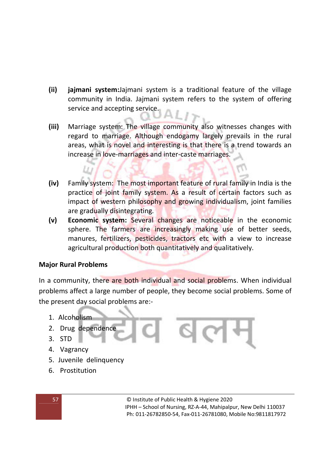- **(ii) jajmani system:**Jajmani system is a traditional feature of the village community in India. Jajmani system refers to the system of offering service and accepting service.
- **(iii)** Marriage system: The village community also witnesses changes with regard to marriage. Although endogamy largely prevails in the rural areas, what is novel and interesting is that there is a trend towards an increase in love-marriages and inter-caste marriages.
- **(iv)** Family system: The most important feature of rural family in India is the practice of joint family system. As a result of certain factors such as impact of western philosophy and growing individualism, joint families are gradually disintegrating.
- **(v) Economic system:** Several changes are noticeable in the economic sphere. The farmers are increasingly making use of better seeds, manures, fertilizers, pesticides, tractors etc with a view to increase agricultural production both quantitatively and qualitatively.

## **Major Rural Problems**

LL.

In a community, there are both individual and social problems. When individual problems affect a large number of people, they become social problems. Some of the present day social problems are:-

- 1. Alcoholism
- 2. Drug dependence
- 3. STD
- 4. Vagrancy
- 5. Juvenile delinquency
- 6. Prostitution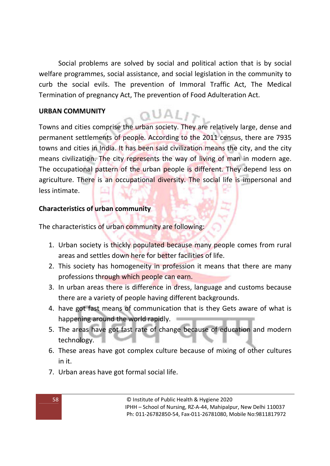Social problems are solved by social and political action that is by social welfare programmes, social assistance, and social legislation in the community to curb the social evils. The prevention of Immoral Traffic Act, The Medical Termination of pregnancy Act, The prevention of Food Adulteration Act.

### **URBAN COMMUNITY**

 $QUAL1$ Towns and cities comprise the urban society. They are relatively large, dense and permanent settlements of people. According to the 2011 census, there are 7935 towns and cities in India. It has been said civilization means the city, and the city means civilization. The city represents the way of living of man in modern age. The occupational pattern of the urban people is different. They depend less on agriculture. There is an occupational diversity. The social life is impersonal and less intimate.

## **Characteristics of urban community**

The characteristics of urban community are following:

- 1. Urban society is thickly populated because many people comes from rural areas and settles down here for better facilities of life.
- 2. This society has homogeneity in profession it means that there are many professions through which people can earn.
- 3. In urban areas there is difference in dress, language and customs because there are a variety of people having different backgrounds.
- 4. have got fast means of communication that is they Gets aware of what is happening around the world rapidly.
- 5. The areas have got fast rate of change because of education and modern technology.
- 6. These areas have got complex culture because of mixing of other cultures in it.
- 7. Urban areas have got formal social life.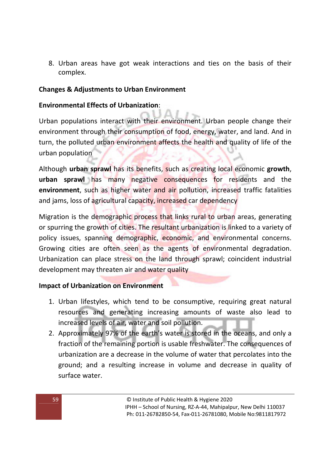8. Urban areas have got weak interactions and ties on the basis of their complex.

### **Changes & Adjustments to Urban Environment**

### **Environmental Effects of Urbanization**:

Urban populations interact with their environment. Urban people change their environment through their consumption of food, energy, water, and land. And in turn, the polluted urban environment affects the health and quality of life of the urban population

Although **urban sprawl** has its benefits, such as creating local economic **growth**, **urban sprawl** has many negative consequences for residents and the **environment**, such as higher water and air pollution, increased traffic fatalities and jams, loss of agricultural capacity, increased car dependency

Migration is the demographic process that links rural to urban areas, generating or spurring the growth of cities. The resultant urbanization is linked to a variety of policy issues, spanning demographic, economic, and environmental concerns. Growing cities are often seen as the agents of environmental degradation. Urbanization can place stress on the land through sprawl; coincident industrial development may threaten air and water quality

#### **Impact of Urbanization on Environment**

- 1. Urban lifestyles, which tend to be consumptive, requiring great natural resources and generating increasing amounts of waste also lead to increased levels of air, water and soil pollution.
- 2. Approximately 97% of the earth's water is stored in the oceans, and only a fraction of the remaining portion is usable freshwater. The consequences of urbanization are a decrease in the volume of water that percolates into the ground; and a resulting increase in volume and decrease in quality of surface water.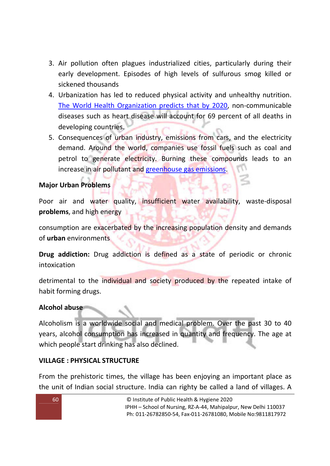- 3. Air pollution often plagues industrialized cities, particularly during their early development. Episodes of high levels of sulfurous smog killed or sickened thousands
- 4. Urbanization has led to reduced physical activity and unhealthy nutrition. The World Health Organization predicts that by 2020, non-communicable diseases such as heart disease will account for 69 percent of all deaths in developing countries.
- 5. Consequences of urban industry, emissions from cars, and the electricity demand. Around the world, companies use fossil fuels such as coal and petrol to generate electricity. Burning these compounds leads to an increase in air pollutant and greenhouse gas emissions.

## **Major Urban Problems**

Poor air and water quality, insufficient water availability, waste-disposal **problems**, and high energy

consumption are exacerbated by the increasing population density and demands of **urban** environments

**Drug addiction:** Drug addiction is defined as a state of periodic or chronic intoxication

detrimental to the individual and society produced by the repeated intake of habit forming drugs.

## **Alcohol abuse**

Alcoholism is a worldwide social and medical problem. Over the past 30 to 40 years, alcohol consumption has increased in quantity and frequency. The age at which people start drinking has also declined.

## **VILLAGE : PHYSICAL STRUCTURE**

From the prehistoric times, the village has been enjoying an important place as the unit of Indian social structure. India can righty be called a land of villages. A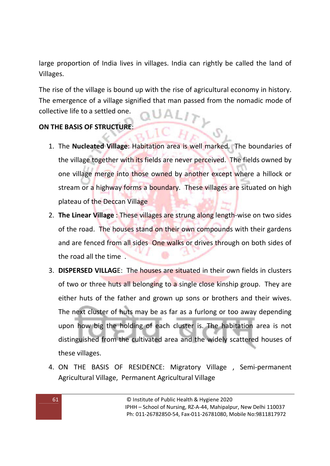large proportion of India lives in villages. India can rightly be called the land of Villages.

The rise of the village is bound up with the rise of agricultural economy in history. The emergence of a village signified that man passed from the nomadic mode of collective life to a settled one.

## **ON THE BASIS OF STRUCTURE**:

- 1. The **Nucleated Village**: Habitation area is well marked. The boundaries of the village together with its fields are never perceived. The fields owned by one village merge into those owned by another except where a hillock or stream or a highway forms a boundary. These villages are situated on high plateau of the Deccan Village
- 2. **The Linear Village** : These villages are strung along length-wise on two sides of the road. The houses stand on their own compounds with their gardens and are fenced from all sides One walks or drives through on both sides of the road all the time .
- 3. **DISPERSED VILLAG**E: The houses are situated in their own fields in clusters of two or three huts all belonging to a single close kinship group. They are either huts of the father and grown up sons or brothers and their wives. The next cluster of huts may be as far as a furlong or too away depending upon how big the holding of each cluster is. The habitation area is not distinguished from the cultivated area and the widely scattered houses of these villages.
- 4. ON THE BASIS OF RESIDENCE: Migratory Village , Semi-permanent Agricultural Village, Permanent Agricultural Village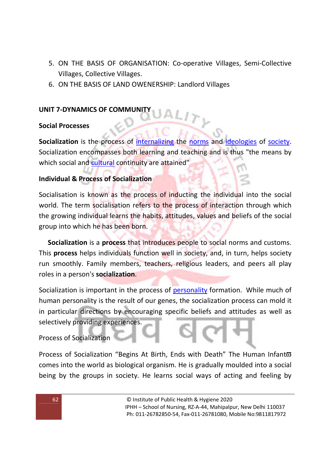- 5. ON THE BASIS OF ORGANISATION: Co-operative Villages, Semi-Collective Villages, Collective Villages.
- 6. ON THE BASIS OF LAND OWENERSHIP: Landlord Villages

### **UNIT 7-DYNAMICS OF COMMUNITY**

#### **Social Processes**

**Socialization** is the process of internalizing the norms and ideologies of society. Socialization encompasses both learning and teaching and is thus "the means by which social and cultural continuity are attained"

#### **Individual & Process of Socialization**

Socialisation is known as the process of inducting the individual into the social world. The term socialisation refers to the process of interaction through which the growing individual learns the habits, attitudes, values and beliefs of the social group into which he has been born.

 **Socialization** is a **process** that introduces people to social norms and customs. This **process** helps individuals function well in society, and, in turn, helps society run smoothly. Family members, teachers, religious leaders, and peers all play roles in a person's **socialization**.

Socialization is important in the process of personality formation. While much of human personality is the result of our genes, the socialization process can mold it in particular directions by encouraging specific beliefs and attitudes as well as selectively providing experiences.

Process of Socialization

Process of Socialization "Begins At Birth, Ends with Death" The Human Infant<sup>®</sup> comes into the world as biological organism. He is gradually moulded into a social being by the groups in society. He learns social ways of acting and feeling by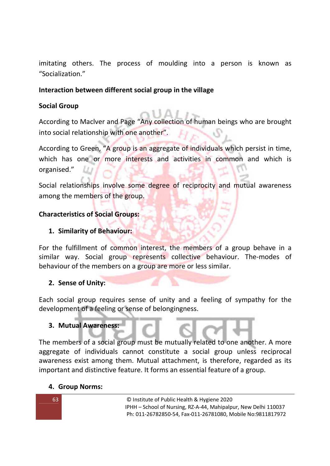imitating others. The process of moulding into a person is known as "Socialization."

## **Interaction between different social group in the village**

## **Social Group**

According to Maclver and Page "Any collection of human beings who are brought into social relationship with one another".

According to Green, "A group is an aggregate of individuals which persist in time, which has one or more interests and activities in common and which is organised."

Social relationships involve some degree of reciprocity and mutual awareness among the members of the group.

## **Characteristics of Social Groups:**

## **1. Similarity of Behaviour:**

For the fulfillment of common interest, the members of a group behave in a similar way. Social group represents collective behaviour. The-modes of behaviour of the members on a group are more or less similar.

## **2. Sense of Unity:**

Each social group requires sense of unity and a feeling of sympathy for the development of a feeling or sense of belongingness.

## **3. Mutual Awareness:**

The members of a social group must be mutually related to one another. A more aggregate of individuals cannot constitute a social group unless reciprocal awareness exist among them. Mutual attachment, is therefore, regarded as its important and distinctive feature. It forms an essential feature of a group.

## **4. Group Norms:**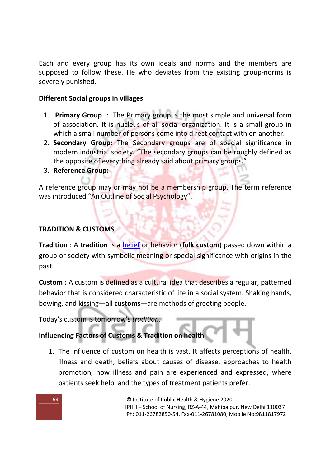Each and every group has its own ideals and norms and the members are supposed to follow these. He who deviates from the existing group-norms is severely punished.

## **Different Social groups in villages**

- 1. **Primary Group** : The Primary group is the most simple and universal form of association. It is nucleus of all social organization. It is a small group in which a small number of persons come into direct contact with on another.
- 2. **Secondary Group:** The Secondary groups are of special significance in modern industrial society. "The secondary groups can be roughly defined as the opposite of everything already said about primary groups."
- 3. **Reference Group:**

A reference group may or may not be a membership group. The term reference was introduced "An Outline of Social Psychology".

## **TRADITION & CUSTOMS**

**Tradition** : A **tradition** is a belief or behavior (**folk custom**) passed down within a group or society with symbolic meaning or special significance with origins in the past.

**Custom :** A custom is defined as a cultural idea that describes a regular, patterned behavior that is considered characteristic of life in a social system. Shaking hands, bowing, and kissing—all **customs**—are methods of greeting people.

Today's custom is tomorrow's *tradition*.

# **Influencing Factors of Customs & Tradition on health**

1. The influence of custom on health is vast. It affects perceptions of health, illness and death, beliefs about causes of disease, approaches to health promotion, how illness and pain are experienced and expressed, where patients seek help, and the types of treatment patients prefer.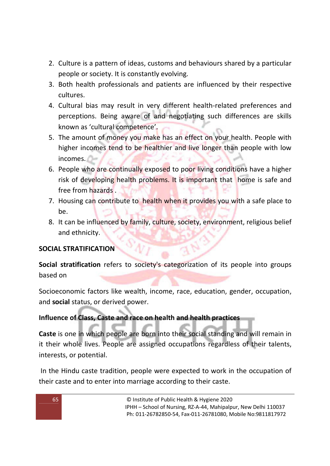- 2. Culture is a pattern of ideas, customs and behaviours shared by a particular people or society. It is constantly evolving.
- 3. Both health professionals and patients are influenced by their respective cultures.
- 4. Cultural bias may result in very different health-related preferences and perceptions. Being aware of and negotiating such differences are skills known as 'cultural competence'.
- 5. The amount of money you make has an effect on your health. People with higher incomes tend to be healthier and live longer than people with low incomes.
- 6. People who are continually exposed to poor living conditions have a higher risk of developing health problems. It is important that home is safe and free from hazards .
- 7. Housing can contribute to health when it provides you with a safe place to be.
- 8. It can be influenced by family, culture, society, environment, religious belief and ethnicity.

## **SOCIAL STRATIFICATION**

**Social stratification** refers to society's categorization of its people into groups based on

Socioeconomic factors like wealth, income, race, education, gender, occupation, and **social** status, or derived power.

## **Influence of Class, Caste and race on health and health practices**

**Caste** is one in which people are born into their social standing and will remain in it their whole lives. People are assigned occupations regardless of their talents, interests, or potential.

 In the Hindu caste tradition, people were expected to work in the occupation of their caste and to enter into marriage according to their caste.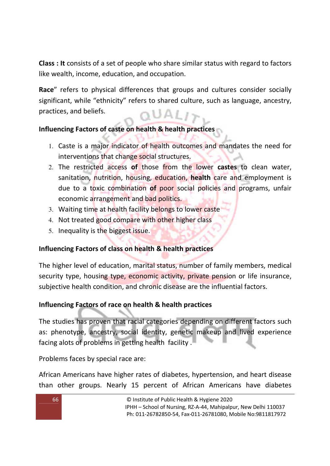**Class : It** consists of a set of people who share similar status with regard to factors like wealth, income, education, and occupation.

**Race**" refers to physical differences that groups and cultures consider socially significant, while "ethnicity" refers to shared culture, such as language, ancestry, practices, and beliefs.  $QUAL12$ 

## **Influencing Factors of caste on health & health practices**

- 1. Caste is a major indicator of health outcomes and mandates the need for interventions that change social structures.
- 2. The restricted access **of** those from the lower **castes** to clean water, sanitation, nutrition, housing, education, **health** care and employment is due to a toxic combination **of** poor social policies and programs, unfair economic arrangement and bad politics.
- 3. Waiting time at health facility belongs to lower caste
- 4. Not treated good compare with other higher class
- 5. Inequality is the biggest issue.

## **Influencing Factors of class on health & health practices**

The higher level of education, marital status, number of family members, medical security type, housing type, economic activity, private pension or life insurance, subjective health condition, and chronic disease are the influential factors.

## **Influencing Factors of race on health & health practices**

The studies has proven that racial categories depending on different factors such as: phenotype, ancestry, social identity, genetic makeup and lived experience facing alots of problems in getting health facility .

Problems faces by special race are:

African Americans have higher rates of diabetes, hypertension, and heart disease than other groups. Nearly 15 percent of African Americans have diabetes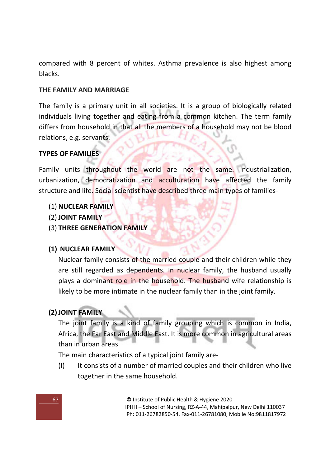compared with 8 percent of whites. Asthma prevalence is also highest among blacks.

## **THE FAMILY AND MARRIAGE**

The family is a primary unit in all societies. It is a group of biologically related individuals living together and eating from a common kitchen. The term family differs from household in that all the members of a household may not be blood relations, e.g. servants.

## **TYPES OF FAMILIES**

Family units throughout the world are not the same. Industrialization, urbanization, democratization and acculturation have affected the family structure and life. Social scientist have described three main types of families-

## (1) **NUCLEAR FAMILY**

- (2) **JOINT FAMILY**
- (3) **THREE GENERATION FAMILY**

## **(1) NUCLEAR FAMILY**

Nuclear family consists of the married couple and their children while they are still regarded as dependents. In nuclear family, the husband usually plays a dominant role in the household. The husband wife relationship is likely to be more intimate in the nuclear family than in the joint family.

## **(2)JOINT FAMILY**

The joint family is a kind of family grouping which is common in India, Africa, the Far East and Middle East. It is more common in agricultural areas than in urban areas

The main characteristics of a typical joint family are-

(I) It consists of a number of married couples and their children who live together in the same household.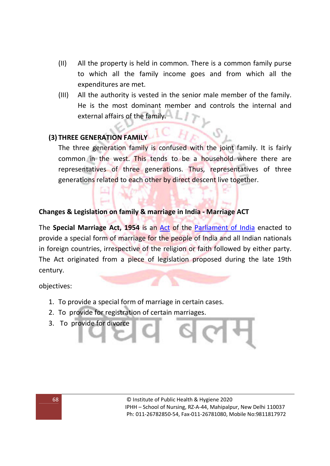- (II) All the property is held in common. There is a common family purse to which all the family income goes and from which all the expenditures are met.
- (III) All the authority is vested in the senior male member of the family. He is the most dominant member and controls the internal and external affairs of the family.

# **(3) THREE GENERATION FAMILY**

The three generation family is confused with the joint family. It is fairly common in the west. This tends to be a household where there are representatives of three generations. Thus, representatives of three generations related to each other by direct descent live together.

#### **Changes & Legislation on family & marriage in India - Marriage ACT**

The **Special Marriage Act, 1954** is an Act of the Parliament of India enacted to provide a special form of marriage for the people of India and all Indian nationals in foreign countries, irrespective of the religion or faith followed by either party. The Act originated from a piece of legislation proposed during the late 19th century.

objectives:

- 1. To provide a special form of marriage in certain cases.
- 2. To provide for registration of certain marriages.
- 3. To provide for divorce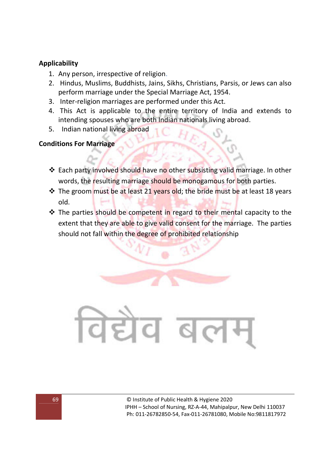#### **Applicability**

- 1. Any person, irrespective of religion.
- 2. Hindus, Muslims, Buddhists, Jains, Sikhs, Christians, Parsis, or Jews can also perform marriage under the Special Marriage Act, 1954.
- 3. Inter-religion marriages are performed under this Act.
- 4. This Act is applicable to the entire territory of India and extends to intending spouses who are both Indian nationals living abroad.
- 5. Indian national living abroad

## **Conditions For Marriage**

- ◆ Each party involved should have no other subsisting valid marriage. In other words, the resulting marriage should be monogamous for both parties.
- \* The groom must be at least 21 years old; the bride must be at least 18 years old.
- $\triangle$  The parties should be competent in regard to their mental capacity to the extent that they are able to give valid consent for the marriage. The parties should not fall within the degree of prohibited relationship

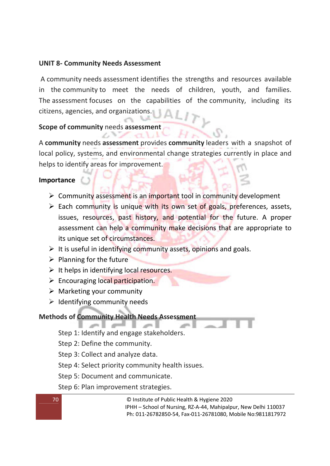### **UNIT 8- Community Needs Assessment**

 A community needs assessment identifies the strengths and resources available in the community to meet the needs of children, youth, and families. The assessment focuses on the capabilities of the community, including its citizens, agencies, and organizations.

#### **Scope of community** needs **assessment**

£.

A **community** needs **assessment** provides **community** leaders with a snapshot of local policy, systems, and environmental change strategies currently in place and helps to identify areas for improvement.

#### **Importance**

- > Community assessment is an important tool in community development
- > Each community is unique with its own set of goals, preferences, assets, issues, resources, past history, and potential for the future. A proper assessment can help a community make decisions that are appropriate to its unique set of circumstances.
- It is useful in identifying community assets, opinions and goals.
- $\triangleright$  Planning for the future
- It helps in identifying local resources.
- > Encouraging local participation.
- > Marketing your community
- > Identifying community needs

## **Methods of Community Health Needs Assessment**

- Step 1: Identify and engage stakeholders.
- Step 2: Define the community.
- Step 3: Collect and analyze data.
- Step 4: Select priority community health issues.
- Step 5: Document and communicate.
- Step 6: Plan improvement strategies.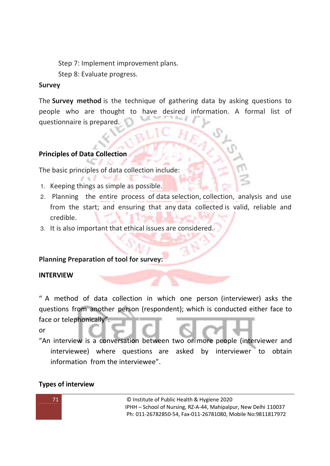Step 7: Implement improvement plans. Step 8: Evaluate progress.

#### **Survey**

The **Survey method** is the technique of gathering data by asking questions to people who are thought to have desired information. A formal list of questionnaire is prepared.

## **Principles of Data Collection**

The basic principles of data collection include:

- 1. Keeping things as simple as possible.
- 2. Planning the entire process of data selection, collection, analysis and use from the start; and ensuring that any data collected is valid, reliable and credible.
- 3. It is also important that ethical issues are considered.

## **Planning Preparation of tool for survey:**

## **INTERVIEW**

" A method of data collection in which one person (interviewer) asks the questions from another person (respondent); which is conducted either face to face or telephonically".

or

"An interview is a conversation between two or more people (interviewer and interviewee) where questions are asked by interviewer to obtain information from the interviewee".

## **Types of interview**

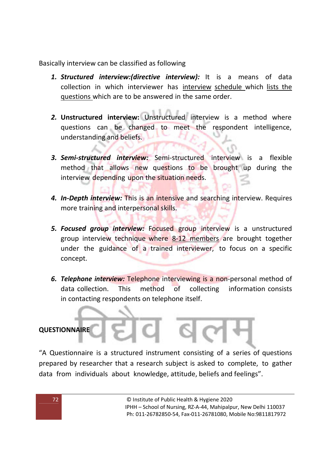Basically interview can be classified as following

- *1. Structured interview:(directive interview):* It is a means of data collection in which interviewer has interview schedule which lists the questions which are to be answered in the same order.
- *2.* **Unstructured interview:** Unstructured interview is a method where questions can be changed to meet the respondent intelligence, understanding and beliefs.
- *3. Semi-structured interview:* Semi-structured interview is a flexible method that allows new questions to be brought up during the interview depending upon the situation needs.
- *4. In-Depth interview:* This is an intensive and searching interview. Requires more training and interpersonal skills.
- *5. Focused group interview:* Focused group interview is a unstructured group interview technique where 8-12 members are brought together under the guidance of a trained interviewer, to focus on a specific concept.
- *6. Telephone interview:* Telephone interviewing is a non-personal method of data collection. This method of collecting information consists in contacting respondents on telephone itself.

## **QUESTIONNAIRE**

"A Questionnaire is a structured instrument consisting of a series of questions prepared by researcher that a research subject is asked to complete, to gather data from individuals about knowledge, attitude, beliefs and feelings".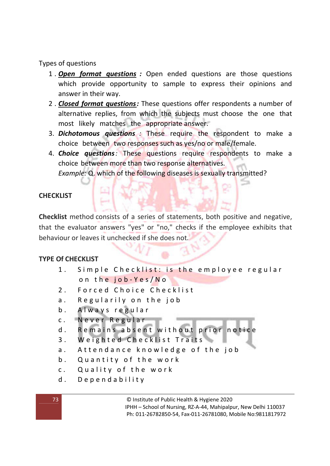Types of questions

- 1 . *Open format questions :* Open ended questions are those questions which provide opportunity to sample to express their opinions and answer in their way.
- 2 . *Closed format questions:* These questions offer respondents a number of alternative replies, from which the subjects must choose the one that most likely matches the appropriate answer.
- 3. *Dichotomous questions :* These require the respondent to make a choice between two responses such as yes/no or male/female.
- 4. *Choice questions:* These questions require respondents to make a choice between more than two response alternatives.

*Example:* Q. which of the following diseases is sexually transmitted?

# **CHECKLIST**

**Checklist** method consists of a series of statements, both positive and negative, that the evaluator answers "yes" or "no," checks if the employee exhibits that behaviour or leaves it unchecked if she does not.

# **TYPE Of CHECKLIST**

- 1. Simple Checklist: is the employee regular on the job-Yes/No
- 2. Forced Choice Checklist
- a. Regularily on the job
- b. Always regular
- c. Never Regular
- d. Remains absent without prior notice
- 3. Weighted Checklist Traits
- a. Attendance knowledge of the job
- b. Quantity of the work
- c. Quality of the work
- d. Dependability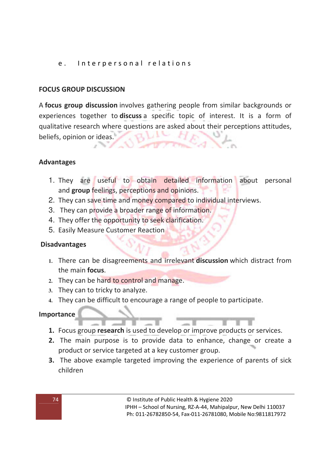## e. Interpersonal relations

## **FOCUS GROUP DISCUSSION**

A **focus group discussion** involves gathering people from similar backgrounds or experiences together to **discuss** a specific topic of interest. It is a form of qualitative research where questions are asked about their perceptions attitudes, beliefs, opinion or ideas.

## **Advantages**

- 1. They are useful to obtain detailed information about personal and **group** feelings, perceptions and opinions.
- 2. They can save time and money compared to individual interviews.
- 3. They can provide a broader range of information.
- 4. They offer the opportunity to seek clarification.
- 5. Easily Measure Customer Reaction

## **Disadvantages**

- **1.** There can be disagreements and irrelevant **discussion** which distract from the main **focus**.
- **2.** They can be hard to control and manage.
- **3.** They can to tricky to analyze.
- **4.** They can be difficult to encourage a range of people to participate.

## **Importance**

- **1.** Focus group **research** is used to develop or improve products or services.
- **2.** The main purpose is to provide data to enhance, change or create a product or service targeted at a key customer group.
- **3.** The above example targeted improving the experience of parents of sick children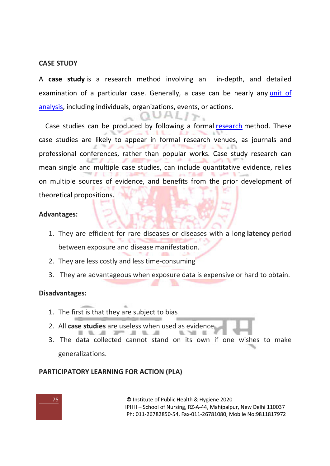### **CASE STUDY**

A **case study** is a research method involving an in-depth, and detailed examination of a particular case. Generally, a case can be nearly any unit of analysis, including individuals, organizations, events, or actions.

 $UALI$ <sub> $\triangleright$ </sub>

Case studies can be produced by following a formal research method. These case studies are likely to appear in formal research venues, as journals and professional conferences, rather than popular works. Case study research can mean single and multiple case studies, can include quantitative evidence, relies on multiple sources of evidence, and benefits from the prior development of theoretical propositions.

### **Advantages:**

- 1. They are efficient for rare diseases or diseases with a long **latency** period between exposure and disease manifestation.
- 2. They are less costly and less time-consuming
- 3. They are advantageous when exposure data is expensive or hard to obtain.

### **Disadvantages:**

- 1. The first is that they are subject to bias
- 2. All **case studies** are useless when used as evidence
- 3. The data collected cannot stand on its own if one wishes to make generalizations.

### **PARTICIPATORY LEARNING FOR ACTION (PLA)**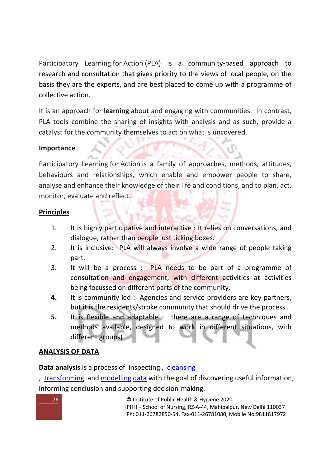Participatory Learning for Action (PLA) is a community-based approach to research and consultation that gives priority to the views of local people, on the basis they are the experts, and are best placed to come up with a programme of collective action.

It is an approach for **learning** about and engaging with communities. In contrast, PLA tools combine the sharing of insights with analysis and as such, provide a catalyst for the community themselves to act on what is uncovered.

## **Importance**

Participatory Learning for Action is a family of approaches, methods, attitudes, behaviours and relationships, which enable and empower people to share, analyse and enhance their knowledge of their life and conditions, and to plan, act, monitor, evaluate and reflect.

## **Principles**

- 1. It is highly participative and interactive : It relies on conversations, and dialogue, rather than people just ticking boxes.
- 2. It is inclusive: PLA will always involve a wide range of people taking part.
- 3. It will be a process : PLA needs to be part of a programme of consultation and engagement, with different activities at activities being focussed on different parts of the community.
- **4.** It is community led : Agencies and service providers are key partners, but it is the residents/stroke community that should drive the process .
- **5.** It is flexible and adaptable : there are a range of techniques and methods available, designed to work in different situations, with different groups)

## **ANALYSIS OF DATA**

# **Data analysis** is a process of inspecting , cleansing

, transforming and modelling data with the goal of discovering useful information, informing conclusion and supporting decision-making.

| .76 <sup>°</sup> | © Institute of Public Health & Hygiene 2020                     |
|------------------|-----------------------------------------------------------------|
|                  | IPHH – School of Nursing, RZ-A-44, Mahipalpur, New Delhi 110037 |
|                  | Ph: 011-26782850-54. Fax-011-26781080. Mobile No:9811817972     |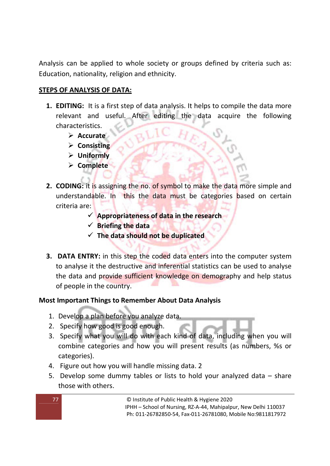Analysis can be applied to whole society or groups defined by criteria such as: Education, nationality, religion and ethnicity.

## **STEPS OF ANALYSIS OF DATA:**

- **1. EDITING:** It is a first step of data analysis. It helps to compile the data more relevant and useful. After editing the data acquire the following characteristics.
	- **Accurate**
	- **Consisting**
	- **Uniformly**
	- **Complete**
- **2. CODING:** it is assigning the no. of symbol to make the data more simple and understandable. In this the data must be categories based on certain criteria are:
	- **Appropriateness of data in the research**
	- **Briefing the data**
	- **The data should not be duplicated**
- **3. DATA ENTRY:** in this step the coded data enters into the computer system to analyse it the destructive and inferential statistics can be used to analyse the data and provide sufficient knowledge on demography and help status of people in the country.

## **Most Important Things to Remember About Data Analysis**

- 1. Develop a plan before you analyze data.
- 2. Specify how good is good enough.
- 3. Specify what you will do with each kind of data, including when you will combine categories and how you will present results (as numbers, %s or categories).
- 4. Figure out how you will handle missing data. 2
- 5. Develop some dummy tables or lists to hold your analyzed data share those with others.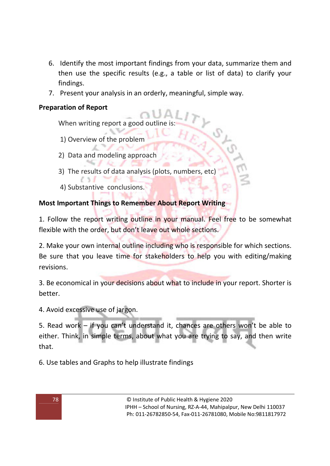- 6. Identify the most important findings from your data, summarize them and then use the specific results (e.g., a table or list of data) to clarify your findings.
- 7. Present your analysis in an orderly, meaningful, simple way.

## **Preparation of Report**

When writing report a good outline is

- 1) Overview of the problem
- 2) Data and modeling approach
- 3) The results of data analysis (plots, numbers, etc)
- 4) Substantive conclusions.

# **Most Important Things to Remember About Report Writing**

1. Follow the report writing outline in your manual. Feel free to be somewhat flexible with the order, but don't leave out whole sections.

2. Make your own internal outline including who is responsible for which sections. Be sure that you leave time for stakeholders to help you with editing/making revisions.

3. Be economical in your decisions about what to include in your report. Shorter is better.

4. Avoid excessive use of jargon.

5. Read work – if you can't understand it, chances are others won't be able to either. Think, in simple terms, about what you are trying to say, and then write that.

6. Use tables and Graphs to help illustrate findings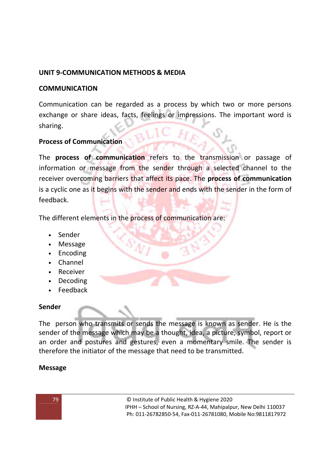## **UNIT 9-COMMUNICATION METHODS & MEDIA**

## **COMMUNICATION**

Communication can be regarded as a process by which two or more persons exchange or share ideas, facts, feelings or impressions. The important word is sharing.

## **Process of Communication**

The **process of communication** refers to the transmission or passage of information or message from the sender through a selected channel to the receiver overcoming barriers that affect its pace. The **process of communication** is a cyclic one as it begins with the sender and ends with the sender in the form of feedback.

The different elements in the process of communication are:

- Sender
- Message
- Encoding
- Channel
- Receiver
- Decoding
- Feedback

### **Sender**

The person who transmits or sends the message is known as sender. He is the sender of the message which may be a thought, idea, a picture, symbol, report or an order and postures and gestures, even a momentary smile. The sender is therefore the initiator of the message that need to be transmitted.

## **Message**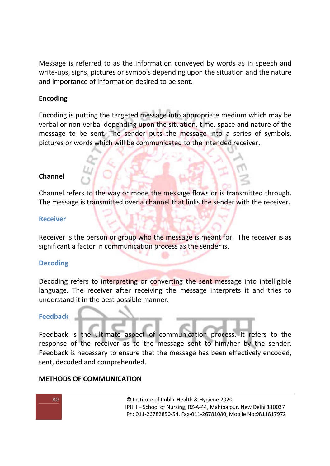Message is referred to as the information conveyed by words as in speech and write-ups, signs, pictures or symbols depending upon the situation and the nature and importance of information desired to be sent.

### **Encoding**

Encoding is putting the targeted message into appropriate medium which may be verbal or non-verbal depending upon the situation, time, space and nature of the message to be sent. The sender puts the message into a series of symbols, pictures or words which will be communicated to the intended receiver.

### **Channel**

Channel refers to the way or mode the message flows or is transmitted through. The message is transmitted over a channel that links the sender with the receiver.

### **Receiver**

Receiver is the person or group who the message is meant for. The receiver is as significant a factor in communication process as the sender is.

### **Decoding**

Decoding refers to interpreting or converting the sent message into intelligible language. The receiver after receiving the message interprets it and tries to understand it in the best possible manner.

### **Feedback**

Feedback is the ultimate aspect of communication process. It refers to the response of the receiver as to the message sent to him/her by the sender. Feedback is necessary to ensure that the message has been effectively encoded, sent, decoded and comprehended.

### **METHODS OF COMMUNICATION**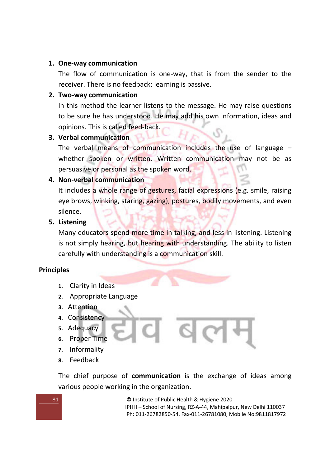### **1. One-way communication**

The flow of communication is one-way, that is from the sender to the receiver. There is no feedback; learning is passive.

### **2. Two-way communication**

In this method the learner listens to the message. He may raise questions to be sure he has understood. He may add his own information, ideas and opinions. This is called feed-back.

## **3. Verbal communication**

The verbal means of communication includes the use of language – whether spoken or written. Written communication may not be as persuasive or personal as the spoken word.

## **4. Non-verbal communication**

It includes a whole range of gestures, facial expressions (e.g. smile, raising eye brows, winking, staring, gazing), postures, bodily movements, and even silence.

### **5. Listening**

Many educators spend more time in talking, and less in listening. Listening is not simply hearing, but hearing with understanding. The ability to listen carefully with understanding is a communication skill.

## **Principles**

- **1.** Clarity in Ideas
- **2.** Appropriate Language
- **3.** Attention
- **4.** Consistency
- **5.** Adequacy
- **6.** Proper Time
- **7.** Informality
- **8.** Feedback

The chief purpose of **communication** is the exchange of ideas among various people working in the organization.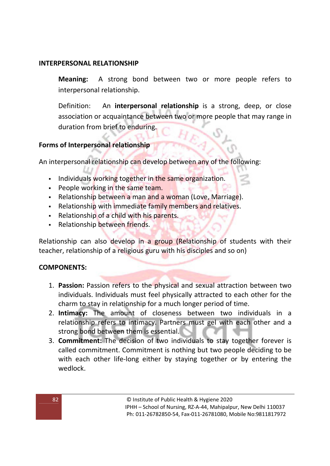### **INTERPERSONAL RELATIONSHIP**

**Meaning:** A strong bond between two or more people refers to interpersonal relationship.

Definition: An **interpersonal relationship** is a strong, deep, or close association or acquaintance between two or more people that may range in duration from brief to enduring.

### **Forms of Interpersonal relationship**

An interpersonal relationship can develop between any of the following:

- Individuals working together in the same organization.
- **People working in the same team.**
- Relationship between a man and a woman (Love, Marriage).
- **EXECT** Relationship with immediate family members and relatives.
- Relationship of a child with his parents.
- Relationship between friends.

Relationship can also develop in a group (Relationship of students with their teacher, relationship of a religious guru with his disciples and so on)

### **COMPONENTS:**

- 1. **Passion:** Passion refers to the physical and sexual attraction between two individuals. Individuals must feel physically attracted to each other for the charm to stay in relationship for a much longer period of time.
- 2. **Intimacy:** The amount of closeness between two individuals in a relationship refers to intimacy. Partners must gel with each other and a strong bond between them is essential.
- 3. **Commitment:** The decision of two individuals to stay together forever is called commitment. Commitment is nothing but two people deciding to be with each other life-long either by staying together or by entering the wedlock.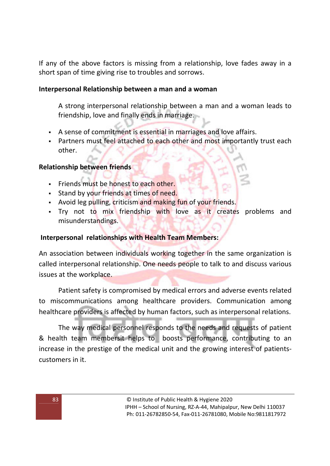If any of the above factors is missing from a relationship, love fades away in a short span of time giving rise to troubles and sorrows.

### **Interpersonal Relationship between a man and a woman**

A strong interpersonal relationship between a man and a woman leads to friendship, love and finally ends in marriage.

- A sense of commitment is essential in marriages and love affairs.
- **Partners must feel attached to each other and most importantly trust each** other.

### **Relationship between friends**

- Friends must be honest to each other.
- **Stand by your friends at times of need.**
- Avoid leg pulling, criticism and making fun of your friends.
- Try not to mix friendship with love as it creates problems and misunderstandings.

### **Interpersonal relationships with Health Team Members:**

An association between individuals working together in the same organization is called interpersonal relationship. One needs people to talk to and discuss various issues at the workplace.

Patient safety is compromised by medical errors and adverse events related to miscommunications among healthcare providers. Communication among healthcare providers is affected by human factors, such as interpersonal relations.

The way medical personnel responds to the needs and requests of patient & health team membersit helps to boosts performance, contributing to an increase in the prestige of the medical unit and the growing interest of patientscustomers in it.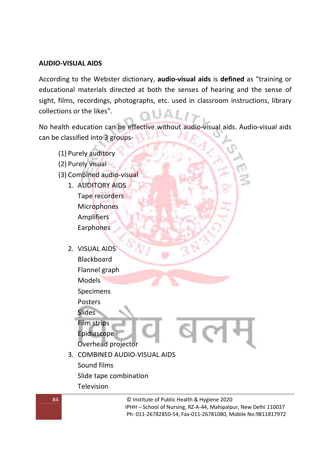### **AUDIO-VISUAL AIDS**

According to the Webster dictionary, **audio-visual aids** is **defined** as "training or educational materials directed at both the senses of hearing and the sense of sight, films, recordings, photographs, etc. used in classroom instructions, library collections or the likes". ALLA I

No health education can be effective without audio-visual aids. Audio-visual aids can be classified into 3 groups-

- (1) Purely auditory
- (2) Purely visual
- (3) Combined audio-visual
	- 1. AUDITORY AIDS Tape recorders **Microphones** Amplifiers Earphones
	- 2. VISUAL AIDS Blackboard Flannel graph Models Specimens Posters **Slides** Film strips Epidiascope Overhead projector 3. COMBINED AUDIO-VISUAL AIDS Sound films Slide tape combination Television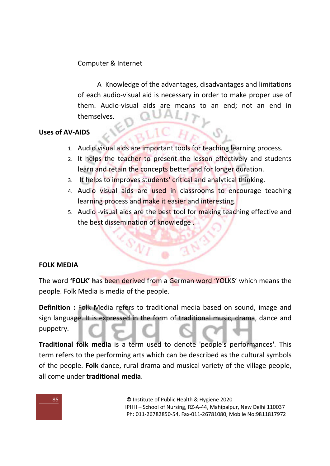# Computer & Internet

 A Knowledge of the advantages, disadvantages and limitations of each audio-visual aid is necessary in order to make proper use of them. Audio-visual aids are means to an end; not an end in themselves.

## **Uses of AV-AIDS**

- 1. Audio visual aids are important tools for teaching learning process.
- 2. It helps the teacher to present the lesson effectively and students learn and retain the concepts better and for longer duration.
- 3. It helps to improves students' critical and analytical thinking.
- 4. Audio visual aids are used in classrooms to encourage teaching learning process and make it easier and interesting.
- 5. Audio -visual aids are the best tool for making teaching effective and the best dissemination of knowledge.

## **FOLK MEDIA**

The word **'FOLK' h**as been derived from a German word 'YOLKS' which means the people. Folk Media is media of the people.

**Definition :** Folk Media refers to traditional media based on sound, image and sign language. It is expressed in the form of traditional music, drama, dance and puppetry.

**Traditional folk media** is a term used to denote 'people's performances'. This term refers to the performing arts which can be described as the cultural symbols of the people. **Folk** dance, rural drama and musical variety of the village people, all come under **traditional media**.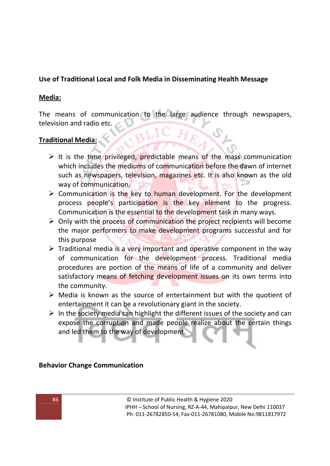# **Use of Traditional Local and Folk Media in Disseminating Health Message**

## **Media:**

The means of communication to the large audience through newspapers, television and radio etc.

# **Traditional Media:**

- It is the time privileged, predictable means of the mass communication which includes the mediums of communication before the dawn of internet such as newspapers, television, magazines etc. It is also known as the old way of communication.
- > Communication is the key to human development. For the development process people's participation is the key element to the progress. Communication is the essential to the development task in many ways.
- > Only with the process of communication the project recipients will become the major performers to make development programs successful and for this purpose
- > Traditional media is a very important and operative component in the way of communication for the development process. Traditional media procedures are portion of the means of life of a community and deliver satisfactory means of fetching development issues on its own terms into the community.
- > Media is known as the source of entertainment but with the quotient of entertainment it can be a revolutionary giant in the society.
- > In the society media can highlight the different issues of the society and can expose the corruption and made people realize about the certain things and led them to the way of development.

# **Behavior Change Communication**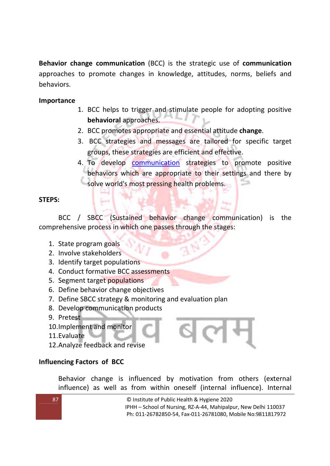**Behavior change communication** (BCC) is the strategic use of **communication** approaches to promote changes in knowledge, attitudes, norms, beliefs and behaviors.

## **Importance**

- 1. BCC helps to trigger and stimulate people for adopting positive **behavioral** approaches.
- 2. BCC promotes appropriate and essential attitude **change**.
- 3. BCC strategies and messages are tailored for specific target groups, these strategies are efficient and effective.
- 4. To develop communication strategies to promote positive behaviors which are appropriate to their settings and there by solve world's most pressing health problems.

## **STEPS:**

BCC / SBCC (Sustained behavior change communication) is the comprehensive process in which one passes through the stages:

- 1. State program goals
- 2. Involve stakeholders
- 3. Identify target populations
- 4. Conduct formative BCC assessments
- 5. Segment target populations
- 6. Define behavior change objectives
- 7. Define SBCC strategy & monitoring and evaluation plan
- 8. Develop communication products
- 9. Pretest
- 10.Implement and monitor
- 11.Evaluate
- 12.Analyze feedback and revise

## **Influencing Factors of BCC**

Behavior change is influenced by motivation from others (external influence) as well as from within oneself (internal influence). Internal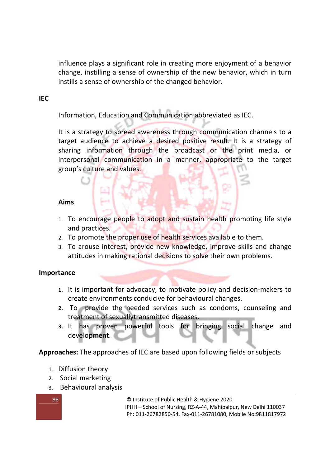influence plays a significant role in creating more enjoyment of a behavior change, instilling a sense of ownership of the new behavior, which in turn instills a sense of ownership of the changed behavior.

### **IEC**

Information, Education and Communication abbreviated as IEC.

It is a strategy to spread awareness through communication channels to a target audience to achieve a desired positive result. It is a strategy of sharing information through the broadcast or the print media, or interpersonal communication in a manner, appropriate to the target group's culture and values.

### **Aims**

- 1. To encourage people to adopt and sustain health promoting life style and practices.
- 2. To promote the proper use of health services available to them.
- 3. To arouse interest, provide new knowledge, improve skills and change attitudes in making rational decisions to solve their own problems.

### **Importance**

- **1.** It is important for advocacy, to motivate policy and decision-makers to create environments conducive for behavioural changes.
- **2.** To provide the needed services such as condoms, counseling and treatment of sexuallytransmitted diseases.
- **3.** It has proven powerful tools for bringing social change and development.

**Approaches:** The approaches of IEC are based upon following fields or subjects

- 1. Diffusion theory
- 2. Social marketing
- 3. Behavioural analysis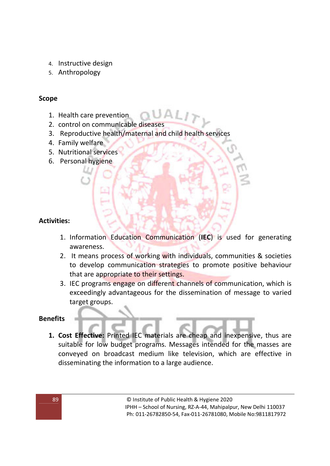- 4. Instructive design
- 5. Anthropology

## **Scope**

- 1. Health care prevention
- 2. control on communicable diseases
- 3. Reproductive health/maternal and child health services
- 4. Family welfare
- 5. Nutritional services
- 6. Personal hygiene

## **Activities:**

- 1. Information Education Communication (**IEC**) is used for generating awareness.
- 2. It means process of working with individuals, communities & societies to develop communication strategies to promote positive behaviour that are appropriate to their settings.
- 3. IEC programs engage on different channels of communication, which is exceedingly advantageous for the dissemination of message to varied target groups.

### **Benefits**

**1. Cost Effective:** Printed IEC materials are cheap and inexpensive, thus are suitable for low budget programs. Messages intended for the masses are conveyed on broadcast medium like television, which are effective in disseminating the information to a large audience.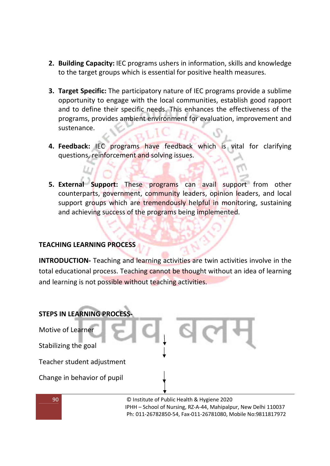- **2. Building Capacity:** IEC programs ushers in information, skills and knowledge to the target groups which is essential for positive health measures.
- **3. Target Specific:** The participatory nature of IEC programs provide a sublime opportunity to engage with the local communities, establish good rapport and to define their specific needs. This enhances the effectiveness of the programs, provides ambient environment for evaluation, improvement and sustenance.
- **4. Feedback:** IEC programs have feedback which is vital for clarifying questions, reinforcement and solving issues.
- **5. External Support:** These programs can avail support from other counterparts, government, community leaders, opinion leaders, and local support groups which are tremendously helpful in monitoring, sustaining and achieving success of the programs being implemented.

## **TEACHING LEARNING PROCESS**

**INTRODUCTION-** Teaching and learning activities are twin activities involve in the total educational process. Teaching cannot be thought without an idea of learning and learning is not possible without teaching activities.



90 © Institute of Public Health & Hygiene 2020 IPHH – School of Nursing, RZ-A-44, Mahipalpur, New Delhi 110037 Ph: 011-26782850-54, Fax-011-26781080, Mobile No:9811817972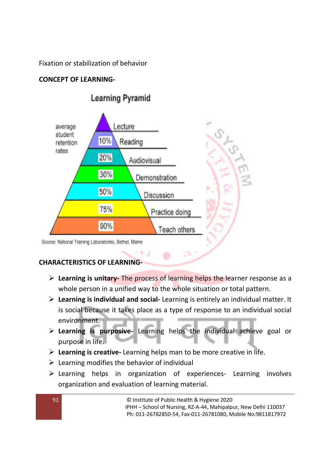Fixation or stabilization of behavior

# **CONCEPT OF LEARNING-**



# **Learning Pyramid**

**CHARACTERISTICS OF LEARNING-** 

> Learning is unitary- The process of learning helps the learner response as a whole person in a unified way to the whole situation or total pattern.

n

- **Learning is individual and social-** Learning is entirely an individual matter. It is social because it takes place as a type of response to an individual social environment.
- **Learning is purposive-** Learning helps the individual achieve goal or purpose in life.
- **Learning is creative-** Learning helps man to be more creative in life.
- Learning modifies the behavior of individual
- > Learning helps in organization of experiences- Learning involves organization and evaluation of learning material.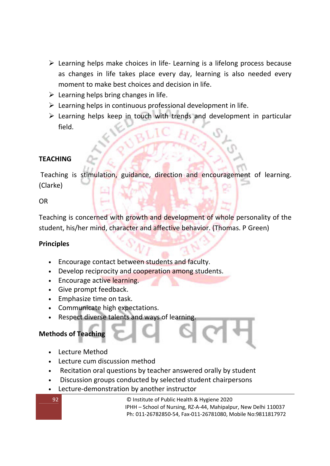- > Learning helps make choices in life- Learning is a lifelong process because as changes in life takes place every day, learning is also needed every moment to make best choices and decision in life.
- $\triangleright$  Learning helps bring changes in life.
- > Learning helps in continuous professional development in life.
- Learning helps keep in touch with trends and development in particular field.

## **TEACHING**

 Teaching is stimulation, guidance, direction and encouragement of learning. (Clarke)

### OR

Teaching is concerned with growth and development of whole personality of the student, his/her mind, character and affective behavior. (Thomas. P Green)

## **Principles**

- Encourage contact between students and faculty.
- Develop reciprocity and cooperation among students.
- Encourage active learning.
- Give prompt feedback.
- Emphasize time on task.
- Communicate high expectations.
- Respect diverse talents and ways of learning.

## **Methods of Teaching**

- Lecture Method
- Lecture cum discussion method
- Recitation oral questions by teacher answered orally by student
- Discussion groups conducted by selected student chairpersons
- Lecture-demonstration by another instructor

92 © Institute of Public Health & Hygiene 2020 IPHH – School of Nursing, RZ-A-44, Mahipalpur, New Delhi 110037 Ph: 011-26782850-54, Fax-011-26781080, Mobile No:9811817972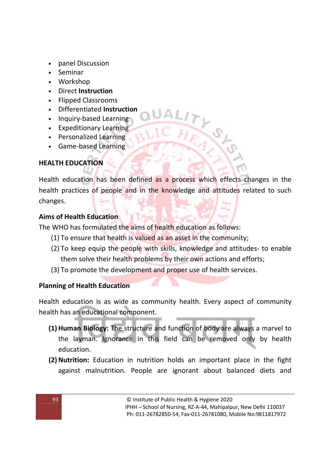- panel Discussion
- Seminar
- Workshop
- Direct **Instruction**
- Flipped Classrooms
- Differentiated **Instruction**
- Inquiry-based Learning
- Expeditionary Learning
- Personalized Learning
- Game-based Learning

# **HEALTH EDUCATION**

Health education has been defined as a process which effects changes in the health practices of people and in the knowledge and attitudes related to such changes.

## **Aims of Health Education**

The WHO has formulated the aims of health education as follows:

- (1) To ensure that health is valued as an asset in the community;
- (2) To keep equip the people with skills, knowledge and attitudes- to enable them solve their health problems by their own actions and efforts;
- (3) To promote the development and proper use of health services.

## **Planning of Health Education**

Health education is as wide as community health. Every aspect of community health has an educational component.

- **(1)Human Biology:** The structure and function of body are always a marvel to the layman. Ignorance in this field can be removed only by health education.
- **(2) Nutrition:** Education in nutrition holds an important place in the fight against malnutrition. People are ignorant about balanced diets and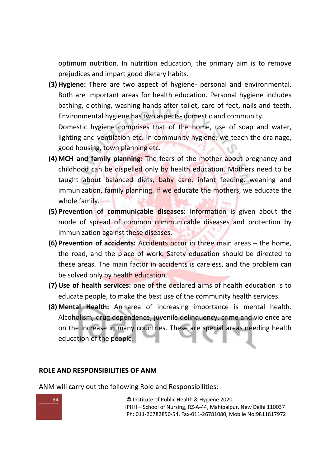optimum nutrition. In nutrition education, the primary aim is to remove prejudices and impart good dietary habits.

**(3)Hygiene:** There are two aspect of hygiene- personal and environmental. Both are important areas for health education. Personal hygiene includes bathing, clothing, washing hands after toilet, care of feet, nails and teeth. Environmental hygiene has two aspects- domestic and community. Domestic hygiene comprises that of the home, use of soap and water, lighting and ventilation etc. In community hygiene, we teach the drainage,

good housing, town planning etc.

- **(4) MCH and family planning:** The fears of the mother about pregnancy and childhood can be dispelled only by health education. Mothers need to be taught about balanced diets, baby care, infant feeding, weaning and immunization, family planning. If we educate the mothers, we educate the whole family.
- **(5) Prevention of communicable diseases:** Information is given about the mode of spread of common communicable diseases and protection by immunization against these diseases.
- **(6) Prevention of accidents:** Accidents occur in three main areas the home, the road, and the place of work. Safety education should be directed to these areas. The main factor in accidents is careless, and the problem can be solved only by health education.
- **(7)Use of health services:** one of the declared aims of health education is to educate people, to make the best use of the community health services.
- **(8) Mental Health:** An area of increasing importance is mental health. Alcoholism, drug dependence, juvenile delinquency, crime and violence are on the increase in many countries. These are special areas needing health education of the people.

### **ROLE AND RESPONSIBILITIES OF ANM**

ANM will carry out the following Role and Responsibilities:

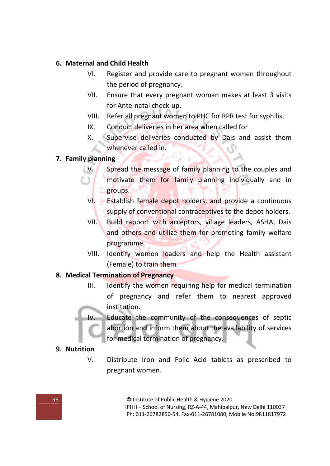## **6. Maternal and Child Health**

- VI. Register and provide care to pregnant women throughout the period of pregnancy.
- VII. Ensure that every pregnant woman makes at least 3 visits for Ante-natal check-up.
- VIII. Refer all pregnant women to PHC for RPR test for syphilis.
- IX. Conduct deliveries in her area when called for
- X. Supervise deliveries conducted by Dais and assist them whenever called in.

## **7. Family planning**

- V. Spread the message of family planning to the couples and motivate them for family planning individually and in groups.
- VI. Establish female depot holders, and provide a continuous supply of conventional contraceptives to the depot holders.
- VII. Build rapport with acceptors, village leaders, ASHA, Dais and others and utilize them for promoting family welfare programme.
- VIII. Identify women leaders and help the Health assistant (Female) to train them.

## **8. Medical Termination of Pregnancy**

III. Identify the women requiring help for medical termination of pregnancy and refer them to nearest approved institution.

IV. Educate the community of the consequences of septic abortion and inform them about the availability of services for medical termination of pregnancy.

## **9. Nutrition**

V. Distribute Iron and Folic Acid tablets as prescribed to pregnant women.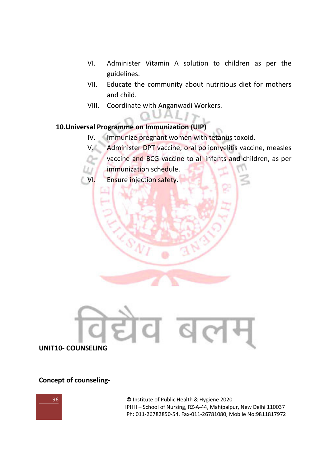- VI. Administer Vitamin A solution to children as per the guidelines.
- VII. Educate the community about nutritious diet for mothers and child.
- VIII. Coordinate with Anganwadi Workers.

## **10.Universal Programme on Immunization (UIP)**

- IV. Immunize pregnant women with tetanus toxoid.
- V. Administer DPT vaccine, oral poliomyelitis vaccine, measles
	- vaccine and BCG vaccine to all infants and children, as per immunization schedule.
- VI. Ensure injection safety.



### **Concept of counseling-**

96 © Institute of Public Health & Hygiene 2020 IPHH – School of Nursing, RZ-A-44, Mahipalpur, New Delhi 110037 Ph: 011-26782850-54, Fax-011-26781080, Mobile No:9811817972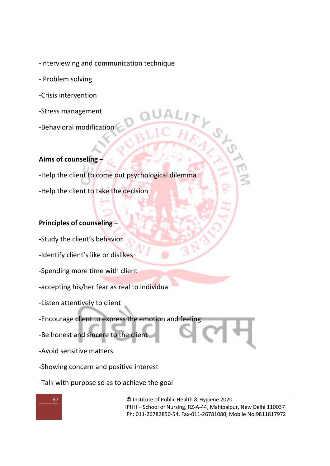-interviewing and communication technique

- Problem solving
- -Crisis intervention
- -Stress management
- -Behavioral modification

### **Aims of counseling –**

-Help the client to come out psychological dilemma -Help the client to take the decision

### **Principles of counseling –**

**-**Study the client's behavior

- -Identify client's like or dislikes
- -Spending more time with client
- -accepting his/her fear as real to individual
- -Listen attentively to client
- -Encourage client to express the emotion and feeling
- -Be honest and sincere to the client
- -Avoid sensitive matters
- -Showing concern and positive interest
- -Talk with purpose so as to achieve the goal

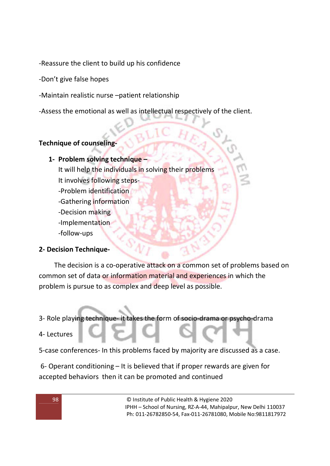-Reassure the client to build up his confidence

- -Don't give false hopes
- -Maintain realistic nurse –patient relationship

-Assess the emotional as well as intellectual respectively of the client.

# **Technique of counseling-**

## **1- Problem solving technique –**

It will help the individuals in solving their problems

- It involves following steps-
- -Problem identification
- -Gathering information
- -Decision making
- -Implementation
- -follow-ups

# **2- Decision Technique-**

The decision is a co-operative attack on a common set of problems based on common set of data or information material and experiences in which the problem is pursue to as complex and deep level as possible.

3- Role playing technique- it takes the form of socio-drama or psycho-drama

# 4- Lectures

5-case conferences- In this problems faced by majority are discussed as a case.

 6- Operant conditioning – It is believed that if proper rewards are given for accepted behaviors then it can be promoted and continued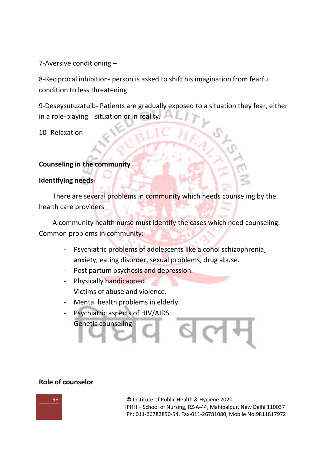7-Aversive conditioning –

8-Reciprocal inhibition- person is asked to shift his imagination from fearful condition to less threatening.

9-Deseysutuzatuib- Patients are gradually exposed to a situation they fear, either in a role-playing situation or in reality.

10- Relaxation

## **Counseling in the community**

### **Identifying needs-**

There are several problems in community which needs counseling by the health care providers

A community health nurse must identify the cases which need counseling. Common problems in community:-

- Psychiatric problems of adolescents like alcohol schizophrenia, anxiety, eating disorder, sexual problems, drug abuse.
- Post partum psychosis and depression.
- Physically handicapped.
- Victims of abuse and violence.
- Mental health problems in elderly
- Psychiatric aspects of HIV/AIDS
- **Genetic counseling**

### **Role of counselor**

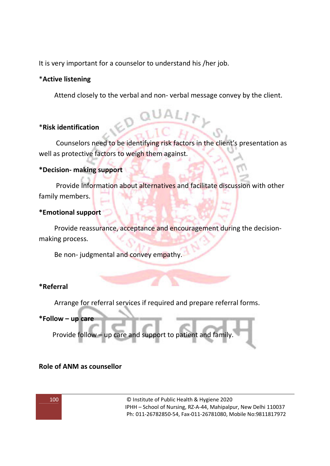It is very important for a counselor to understand his /her job.

### \***Active listening**

Attend closely to the verbal and non- verbal message convey by the client.

### \***Risk identification**

Counselors need to be identifying risk factors in the client's presentation as well as protective factors to weigh them against.

### **\*Decision- making support**

 Provide Information about alternatives and facilitate discussion with other family members.

### **\*Emotional support**

Provide reassurance, acceptance and encouragement during the decisionmaking process.

Be non- judgmental and convey empathy.

## **\*Referral**

Arrange for referral services if required and prepare referral forms.

### **\*Follow – up care**

Provide follow – up care and support to patient and family.

## **Role of ANM as counsellor**

100 © Institute of Public Health & Hygiene 2020 IPHH – School of Nursing, RZ-A-44, Mahipalpur, New Delhi 110037 Ph: 011-26782850-54, Fax-011-26781080, Mobile No:9811817972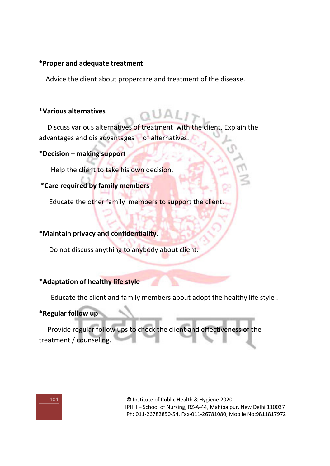### **\*Proper and adequate treatment**

Advice the client about propercare and treatment of the disease.

### \***Various alternatives**

 Discuss various alternatives of treatment with the client. Explain the advantages and dis advantages of alternatives.

### \***Decision** – **making support**

Help the client to take his own decision.

## \***Care required by family members**

Educate the other family members to support the client.

### \***Maintain privacy and confidentiality.**

Do not discuss anything to anybody about client.

## \***Adaptation of healthy life style**

Educate the client and family members about adopt the healthy life style .

### \***Regular follow up**

 Provide regular follow ups to check the client and effectiveness of the treatment / counseling.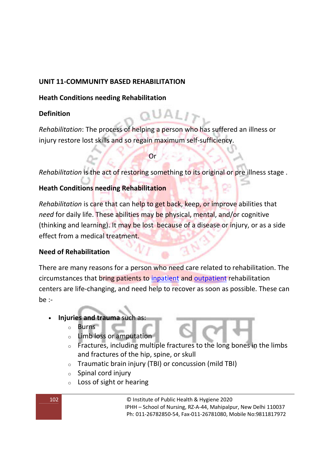## **UNIT 11-COMMUNITY BASED REHABILITATION**

## **Heath Conditions needing Rehabilitation**

# **Definition**

*Rehabilitation*: The process of helping a person who has suffered an illness or injury restore lost skills and so regain maximum self-sufficiency.

 $\mathbb{Q}$  or  $\mathbb{Q}$ 

*Rehabilitation* is the act of restoring something to its original or pre illness stage .

## **Heath Conditions needing Rehabilitation**

*Rehabilitation* is care that can help to get back, keep, or improve abilities that *need* for daily life. These abilities may be physical, mental, and/or cognitive (thinking and learning). It may be lost because of a disease or injury, or as a side effect from a medical treatment.

## **Need of Rehabilitation**

There are many reasons for a person who need care related to rehabilitation. The circumstances that bring patients to inpatient and outpatient rehabilitation centers are life-changing, and need help to recover as soon as possible. These can be :-

## • **Injuries and trauma** such as:

- o Burns
- o Limb loss or amputation
- o Fractures, including multiple fractures to the long bones in the limbs and fractures of the hip, spine, or skull
- o Traumatic brain injury (TBI) or concussion (mild TBI)
- $\circ$  Spinal cord injury
- $\circ$  Loss of sight or hearing

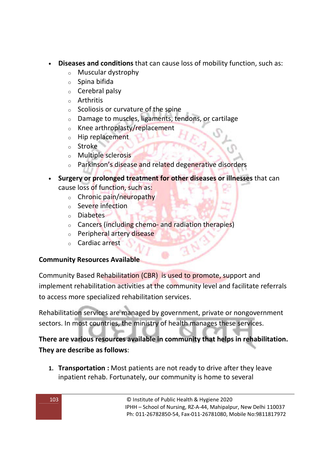- **Diseases and conditions** that can cause loss of mobility function, such as:
	- o Muscular dystrophy
	- o Spina bifida
	- o Cerebral palsy
	- o Arthritis
	- $\circ$  Scoliosis or curvature of the spine
	- o Damage to muscles, ligaments, tendons, or cartilage
	- o Knee arthroplasty/replacement
	- o Hip replacement
	- o Stroke
	- o Multiple sclerosis
	- o Parkinson's disease and related degenerative disorders
- **Surgery or prolonged treatment for other diseases or illnesses** that can cause loss of function, such as:
	- o Chronic pain/neuropathy
	- o Severe infection
	- o Diabetes
	- o Cancers (including chemo- and radiation therapies)
	- o Peripheral artery disease
	- o Cardiac arrest

## **Community Resources Available**

Community Based Rehabilitation (CBR) is used to promote, support and implement rehabilitation activities at the community level and facilitate referrals to access more specialized rehabilitation services.

Rehabilitation services are managed by government, private or nongovernment sectors. In most countries, the ministry of health manages these services.

# **There are various resources available in community that helps in rehabilitation. They are describe as follows**:

**1. Transportation :** Most patients are not ready to drive after they leave inpatient rehab. Fortunately, our community is home to several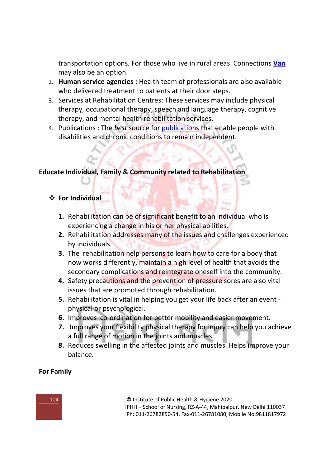transportation options. For those who live in rural areas Connections **Van** may also be an option.

- 2. **Human service agencies :** Health team of professionals are also available who delivered treatment to patients at their door steps.
- 3. Services at Rehabilitation Centres: These services may include physical therapy, occupational therapy, speech and language therapy, cognitive therapy, and mental health rehabilitation services.
- 4. Publications : The *best* source for publications that enable people with disabilities and chronic conditions to remain independent.

# **Educate Individual, Family & Community related to Rehabilitation**

## **For Individual**

- **1.** Rehabilitation can be of significant benefit to an individual who is experiencing a change in his or her physical abilities.
- **2.** Rehabilitation addresses many of the issues and challenges experienced by individuals.
- **3.** The rehabilitation help persons to learn how to care for a body that now works differently, maintain a high level of health that avoids the secondary complications and reintegrate oneself into the community.
- **4.** Safety precautions and the prevention of pressure sores are also vital issues that are promoted through rehabilitation.
- **5.** Rehabilitation is vital in helping you get your life back after an event physical or psychological.
- **6.** Improves co-ordination for better mobility and easier movement.
- **7.** Improves your flexibility physical therapy for injury can help you achieve a full range of motion in the joints and muscles.
- **8.** Reduces swelling in the affected joints and muscles. Helps improve your balance.

## **For Family**

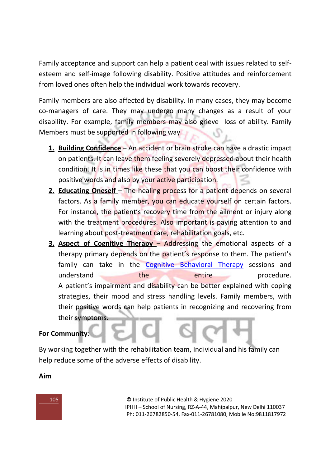Family acceptance and support can help a patient deal with issues related to selfesteem and self-image following disability. Positive attitudes and reinforcement from loved ones often help the individual work towards recovery.

Family members are also affected by disability. In many cases, they may become co-managers of care. They may undergo many changes as a result of your disability. For example, family members may also grieve loss of ability. Family Members must be supported in following way

- **1. Building Confidence** An accident or brain stroke can have a drastic impact on patients. It can leave them feeling severely depressed about their health condition. It is in times like these that you can boost their confidence with positive words and also by your active participation.
- **2. Educating Oneself** The healing process for a patient depends on several factors. As a family member, you can educate yourself on certain factors. For instance, the patient's recovery time from the ailment or injury along with the treatment procedures. Also important is paying attention to and learning about post-treatment care, rehabilitation goals, etc.
- **3. Aspect of Cognitive Therapy** Addressing the emotional aspects of a therapy primary depends on the patient's response to them. The patient's family can take in the Cognitive Behavioral Therapy sessions and understand the the entire procedure. A patient's impairment and disability can be better explained with coping strategies, their mood and stress handling levels. Family members, with their positive words can help patients in recognizing and recovering from their symptoms.

# **For Community**:

By working together with the rehabilitation team, Individual and his family can help reduce some of the adverse effects of disability.

**Aim**